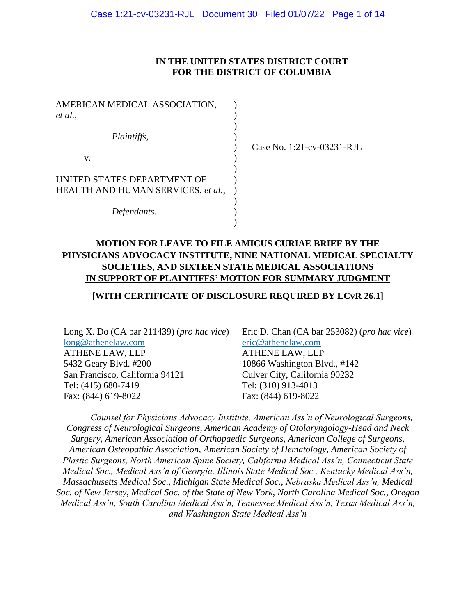#### **IN THE UNITED STATES DISTRICT COURT FOR THE DISTRICT OF COLUMBIA**

| AMERICAN MEDICAL ASSOCIATION,      |  |
|------------------------------------|--|
| et al.,                            |  |
|                                    |  |
| Plaintiffs,                        |  |
|                                    |  |
| v.                                 |  |
|                                    |  |
| UNITED STATES DEPARTMENT OF        |  |
| HEALTH AND HUMAN SERVICES, et al., |  |
|                                    |  |
| Defendants.                        |  |
|                                    |  |

Case No. 1:21-cv-03231-RJL

## **MOTION FOR LEAVE TO FILE AMICUS CURIAE BRIEF BY THE PHYSICIANS ADVOCACY INSTITUTE, NINE NATIONAL MEDICAL SPECIALTY SOCIETIES, AND SIXTEEN STATE MEDICAL ASSOCIATIONS IN SUPPORT OF PLAINTIFFS' MOTION FOR SUMMARY JUDGMENT**

#### **[WITH CERTIFICATE OF DISCLOSURE REQUIRED BY LCvR 26.1]**

Long X. Do (CA bar 211439) (*pro hac vice*) [long@athenelaw.com](mailto:long@athenelaw.com) ATHENE LAW, LLP 5432 Geary Blvd. #200 San Francisco, California 94121 Tel: (415) 680-7419 Fax: (844) 619-8022

Eric D. Chan (CA bar 253082) (*pro hac vice*) [eric@athenelaw.com](mailto:eric@athenelaw.com) ATHENE LAW, LLP 10866 Washington Blvd., #142 Culver City, California 90232 Tel: (310) 913-4013 Fax: (844) 619-8022

*Counsel for Physicians Advocacy Institute, American Ass'n of Neurological Surgeons, Congress of Neurological Surgeons, American Academy of Otolaryngology-Head and Neck Surgery, American Association of Orthopaedic Surgeons, American College of Surgeons, American Osteopathic Association, American Society of Hematology, American Society of Plastic Surgeons, North American Spine Society, California Medical Ass'n, Connecticut State Medical Soc., Medical Ass'n of Georgia, Illinois State Medical Soc., Kentucky Medical Ass'n, Massachusetts Medical Soc., Michigan State Medical Soc., Nebraska Medical Ass'n, Medical Soc. of New Jersey, Medical Soc. of the State of New York, North Carolina Medical Soc., Oregon Medical Ass'n, South Carolina Medical Ass'n, Tennessee Medical Ass'n, Texas Medical Ass'n, and Washington State Medical Ass'n*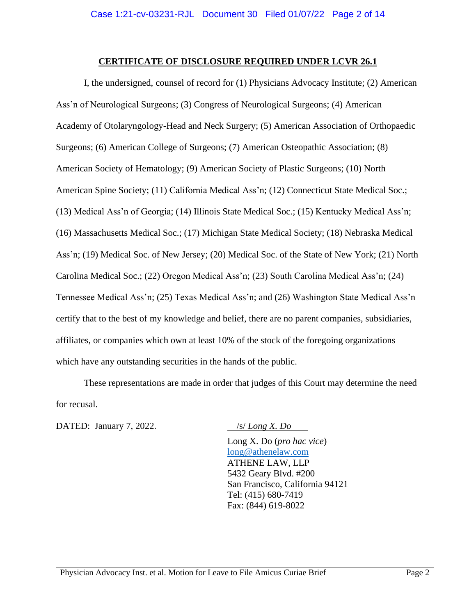#### **CERTIFICATE OF DISCLOSURE REQUIRED UNDER LCVR 26.1**

I, the undersigned, counsel of record for (1) Physicians Advocacy Institute; (2) American Ass'n of Neurological Surgeons; (3) Congress of Neurological Surgeons; (4) American Academy of Otolaryngology-Head and Neck Surgery; (5) American Association of Orthopaedic Surgeons; (6) American College of Surgeons; (7) American Osteopathic Association; (8) American Society of Hematology; (9) American Society of Plastic Surgeons; (10) North American Spine Society; (11) California Medical Ass'n; (12) Connecticut State Medical Soc.; (13) Medical Ass'n of Georgia; (14) Illinois State Medical Soc.; (15) Kentucky Medical Ass'n; (16) Massachusetts Medical Soc.; (17) Michigan State Medical Society; (18) Nebraska Medical Ass'n; (19) Medical Soc. of New Jersey; (20) Medical Soc. of the State of New York; (21) North Carolina Medical Soc.; (22) Oregon Medical Ass'n; (23) South Carolina Medical Ass'n; (24) Tennessee Medical Ass'n; (25) Texas Medical Ass'n; and (26) Washington State Medical Ass'n certify that to the best of my knowledge and belief, there are no parent companies, subsidiaries, affiliates, or companies which own at least 10% of the stock of the foregoing organizations which have any outstanding securities in the hands of the public.

These representations are made in order that judges of this Court may determine the need for recusal.

DATED: January 7, 2022. *<u>Ss. Long X. Do</u>* 

Long X. Do (*pro hac vice*) [long@athenelaw.com](mailto:long@athenelaw.com) ATHENE LAW, LLP 5432 Geary Blvd. #200 San Francisco, California 94121 Tel: (415) 680-7419 Fax: (844) 619-8022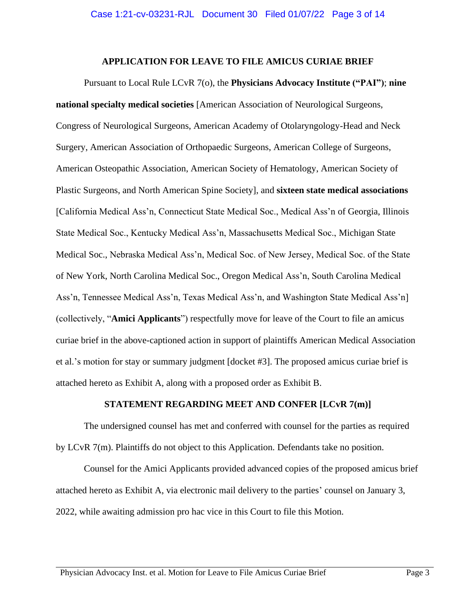#### **APPLICATION FOR LEAVE TO FILE AMICUS CURIAE BRIEF**

Pursuant to Local Rule LCvR 7(o), the **Physicians Advocacy Institute ("PAI")**; **nine national specialty medical societies** [American Association of Neurological Surgeons, Congress of Neurological Surgeons, American Academy of Otolaryngology-Head and Neck Surgery, American Association of Orthopaedic Surgeons, American College of Surgeons, American Osteopathic Association, American Society of Hematology, American Society of Plastic Surgeons, and North American Spine Society], and **sixteen state medical associations** [California Medical Ass'n, Connecticut State Medical Soc., Medical Ass'n of Georgia, Illinois State Medical Soc., Kentucky Medical Ass'n, Massachusetts Medical Soc., Michigan State Medical Soc., Nebraska Medical Ass'n, Medical Soc. of New Jersey, Medical Soc. of the State of New York, North Carolina Medical Soc., Oregon Medical Ass'n, South Carolina Medical Ass'n, Tennessee Medical Ass'n, Texas Medical Ass'n, and Washington State Medical Ass'n] (collectively, "**Amici Applicants**") respectfully move for leave of the Court to file an amicus curiae brief in the above-captioned action in support of plaintiffs American Medical Association et al.'s motion for stay or summary judgment [docket #3]. The proposed amicus curiae brief is attached hereto as Exhibit A, along with a proposed order as Exhibit B.

#### **STATEMENT REGARDING MEET AND CONFER [LCvR 7(m)]**

The undersigned counsel has met and conferred with counsel for the parties as required by LCvR 7(m). Plaintiffs do not object to this Application. Defendants take no position.

Counsel for the Amici Applicants provided advanced copies of the proposed amicus brief attached hereto as Exhibit A, via electronic mail delivery to the parties' counsel on January 3, 2022, while awaiting admission pro hac vice in this Court to file this Motion.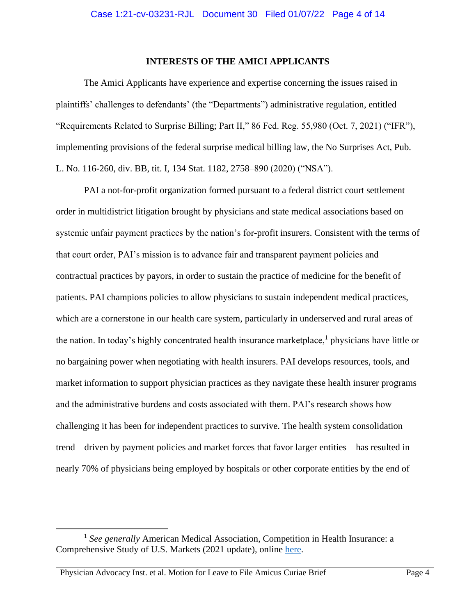#### **INTERESTS OF THE AMICI APPLICANTS**

The Amici Applicants have experience and expertise concerning the issues raised in plaintiffs' challenges to defendants' (the "Departments") administrative regulation, entitled "Requirements Related to Surprise Billing; Part II," 86 Fed. Reg. 55,980 (Oct. 7, 2021) ("IFR"), implementing provisions of the federal surprise medical billing law, the No Surprises Act, Pub. L. No. 116-260, div. BB, tit. I, 134 Stat. 1182, 2758–890 (2020) ("NSA").

PAI a not-for-profit organization formed pursuant to a federal district court settlement order in multidistrict litigation brought by physicians and state medical associations based on systemic unfair payment practices by the nation's for-profit insurers. Consistent with the terms of that court order, PAI's mission is to advance fair and transparent payment policies and contractual practices by payors, in order to sustain the practice of medicine for the benefit of patients. PAI champions policies to allow physicians to sustain independent medical practices, which are a cornerstone in our health care system, particularly in underserved and rural areas of the nation. In today's highly concentrated health insurance marketplace,<sup>1</sup> physicians have little or no bargaining power when negotiating with health insurers. PAI develops resources, tools, and market information to support physician practices as they navigate these health insurer programs and the administrative burdens and costs associated with them. PAI's research shows how challenging it has been for independent practices to survive. The health system consolidation trend – driven by payment policies and market forces that favor larger entities – has resulted in nearly 70% of physicians being employed by hospitals or other corporate entities by the end of

<sup>&</sup>lt;sup>1</sup> See generally American Medical Association, Competition in Health Insurance: a Comprehensive Study of U.S. Markets (2021 update), online [here.](https://www.ama-assn.org/system/files/competition-health-insurance-us-markets.pdf)

Physician Advocacy Inst. et al. Motion for Leave to File Amicus Curiae Brief Page 4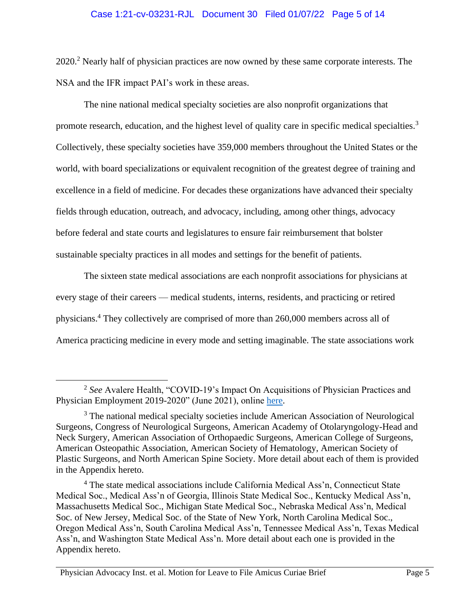#### Case 1:21-cv-03231-RJL Document 30 Filed 01/07/22 Page 5 of 14

2020.<sup>2</sup> Nearly half of physician practices are now owned by these same corporate interests. The NSA and the IFR impact PAI's work in these areas.

The nine national medical specialty societies are also nonprofit organizations that promote research, education, and the highest level of quality care in specific medical specialties.<sup>3</sup> Collectively, these specialty societies have 359,000 members throughout the United States or the world, with board specializations or equivalent recognition of the greatest degree of training and excellence in a field of medicine. For decades these organizations have advanced their specialty fields through education, outreach, and advocacy, including, among other things, advocacy before federal and state courts and legislatures to ensure fair reimbursement that bolster sustainable specialty practices in all modes and settings for the benefit of patients.

The sixteen state medical associations are each nonprofit associations for physicians at every stage of their careers — medical students, interns, residents, and practicing or retired physicians.<sup>4</sup> They collectively are comprised of more than 260,000 members across all of America practicing medicine in every mode and setting imaginable. The state associations work

<sup>&</sup>lt;sup>2</sup> See Avalere Health, "COVID-19's Impact On Acquisitions of Physician Practices and Physician Employment 2019-2020" (June 2021), online [here.](www.physiciansadvocacyinstitute.org/Portals/0/assets/docs/Revised-6-8-21_PAI-Physician-Employment-Study-2021-FINAL.pdf?ver=K6dyoekRSC_c59U8QD1V-A%3d%3d)

<sup>&</sup>lt;sup>3</sup> The national medical specialty societies include American Association of Neurological Surgeons, Congress of Neurological Surgeons, American Academy of Otolaryngology-Head and Neck Surgery, American Association of Orthopaedic Surgeons, American College of Surgeons, American Osteopathic Association, American Society of Hematology, American Society of Plastic Surgeons, and North American Spine Society. More detail about each of them is provided in the Appendix hereto.

<sup>4</sup> The state medical associations include California Medical Ass'n, Connecticut State Medical Soc., Medical Ass'n of Georgia, Illinois State Medical Soc., Kentucky Medical Ass'n, Massachusetts Medical Soc., Michigan State Medical Soc., Nebraska Medical Ass'n, Medical Soc. of New Jersey, Medical Soc. of the State of New York, North Carolina Medical Soc., Oregon Medical Ass'n, South Carolina Medical Ass'n, Tennessee Medical Ass'n, Texas Medical Ass'n, and Washington State Medical Ass'n. More detail about each one is provided in the Appendix hereto.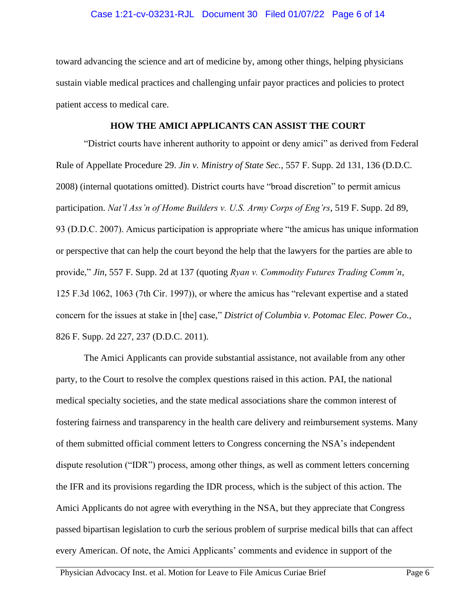#### Case 1:21-cv-03231-RJL Document 30 Filed 01/07/22 Page 6 of 14

toward advancing the science and art of medicine by, among other things, helping physicians sustain viable medical practices and challenging unfair payor practices and policies to protect patient access to medical care.

#### **HOW THE AMICI APPLICANTS CAN ASSIST THE COURT**

"District courts have inherent authority to appoint or deny amici" as derived from Federal Rule of Appellate Procedure 29. *Jin v. Ministry of State Sec.*, 557 F. Supp. 2d 131, 136 (D.D.C. 2008) (internal quotations omitted). District courts have "broad discretion" to permit amicus participation. *Nat'l Ass'n of Home Builders v. U.S. Army Corps of Eng'rs*, 519 F. Supp. 2d 89, 93 (D.D.C. 2007). Amicus participation is appropriate where "the amicus has unique information or perspective that can help the court beyond the help that the lawyers for the parties are able to provide," *Jin*, 557 F. Supp. 2d at 137 (quoting *Ryan v. Commodity Futures Trading Comm'n*, 125 F.3d 1062, 1063 (7th Cir. 1997)), or where the amicus has "relevant expertise and a stated concern for the issues at stake in [the] case," *District of Columbia v. Potomac Elec. Power Co.*, 826 F. Supp. 2d 227, 237 (D.D.C. 2011).

The Amici Applicants can provide substantial assistance, not available from any other party, to the Court to resolve the complex questions raised in this action. PAI, the national medical specialty societies, and the state medical associations share the common interest of fostering fairness and transparency in the health care delivery and reimbursement systems. Many of them submitted official comment letters to Congress concerning the NSA's independent dispute resolution ("IDR") process, among other things, as well as comment letters concerning the IFR and its provisions regarding the IDR process, which is the subject of this action. The Amici Applicants do not agree with everything in the NSA, but they appreciate that Congress passed bipartisan legislation to curb the serious problem of surprise medical bills that can affect every American. Of note, the Amici Applicants' comments and evidence in support of the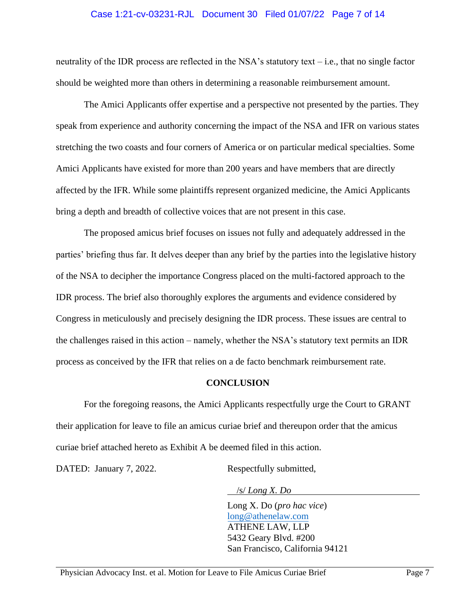#### Case 1:21-cv-03231-RJL Document 30 Filed 01/07/22 Page 7 of 14

neutrality of the IDR process are reflected in the NSA's statutory text – i.e., that no single factor should be weighted more than others in determining a reasonable reimbursement amount.

The Amici Applicants offer expertise and a perspective not presented by the parties. They speak from experience and authority concerning the impact of the NSA and IFR on various states stretching the two coasts and four corners of America or on particular medical specialties. Some Amici Applicants have existed for more than 200 years and have members that are directly affected by the IFR. While some plaintiffs represent organized medicine, the Amici Applicants bring a depth and breadth of collective voices that are not present in this case.

The proposed amicus brief focuses on issues not fully and adequately addressed in the parties' briefing thus far. It delves deeper than any brief by the parties into the legislative history of the NSA to decipher the importance Congress placed on the multi-factored approach to the IDR process. The brief also thoroughly explores the arguments and evidence considered by Congress in meticulously and precisely designing the IDR process. These issues are central to the challenges raised in this action – namely, whether the NSA's statutory text permits an IDR process as conceived by the IFR that relies on a de facto benchmark reimbursement rate.

#### **CONCLUSION**

For the foregoing reasons, the Amici Applicants respectfully urge the Court to GRANT their application for leave to file an amicus curiae brief and thereupon order that the amicus curiae brief attached hereto as Exhibit A be deemed filed in this action.

DATED: January 7, 2022. Respectfully submitted,

/s/ *Long X. Do*

Long X. Do (*pro hac vice*) [long@athenelaw.com](mailto:long@athenelaw.com) ATHENE LAW, LLP 5432 Geary Blvd. #200 San Francisco, California 94121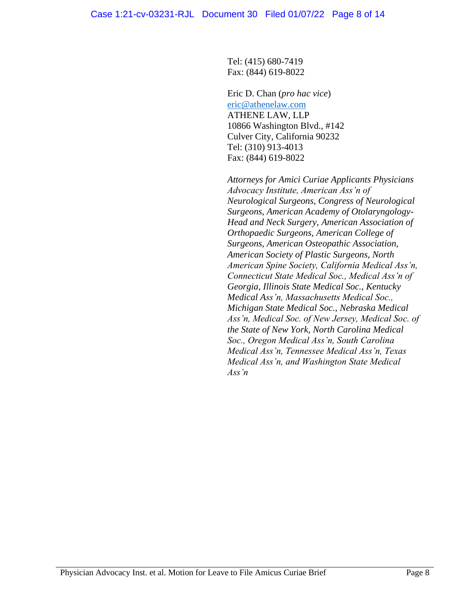Tel: (415) 680-7419 Fax: (844) 619-8022

Eric D. Chan (*pro hac vice*) [eric@athenelaw.com](mailto:eric@athenelaw.com) ATHENE LAW, LLP 10866 Washington Blvd., #142 Culver City, California 90232 Tel: (310) 913-4013 Fax: (844) 619-8022

*Attorneys for Amici Curiae Applicants Physicians Advocacy Institute, American Ass'n of Neurological Surgeons, Congress of Neurological Surgeons, American Academy of Otolaryngology-Head and Neck Surgery, American Association of Orthopaedic Surgeons, American College of Surgeons, American Osteopathic Association, American Society of Plastic Surgeons, North American Spine Society, California Medical Ass'n, Connecticut State Medical Soc., Medical Ass'n of Georgia, Illinois State Medical Soc., Kentucky Medical Ass'n, Massachusetts Medical Soc., Michigan State Medical Soc., Nebraska Medical Ass'n, Medical Soc. of New Jersey, Medical Soc. of the State of New York, North Carolina Medical Soc., Oregon Medical Ass'n, South Carolina Medical Ass'n, Tennessee Medical Ass'n, Texas Medical Ass'n, and Washington State Medical Ass'n*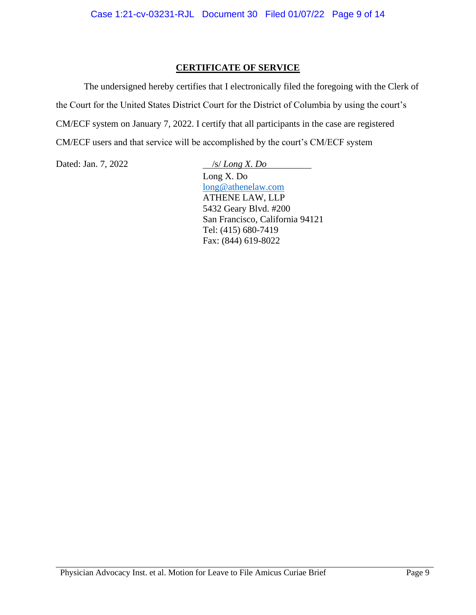## **CERTIFICATE OF SERVICE**

The undersigned hereby certifies that I electronically filed the foregoing with the Clerk of the Court for the United States District Court for the District of Columbia by using the court's CM/ECF system on January 7, 2022. I certify that all participants in the case are registered CM/ECF users and that service will be accomplished by the court's CM/ECF system

Dated: Jan. 7, 2022 */s/ Long X. Do* 

Long X. Do [long@athenelaw.com](mailto:long@athenelaw.com) ATHENE LAW, LLP 5432 Geary Blvd. #200 San Francisco, California 94121 Tel: (415) 680-7419 Fax: (844) 619-8022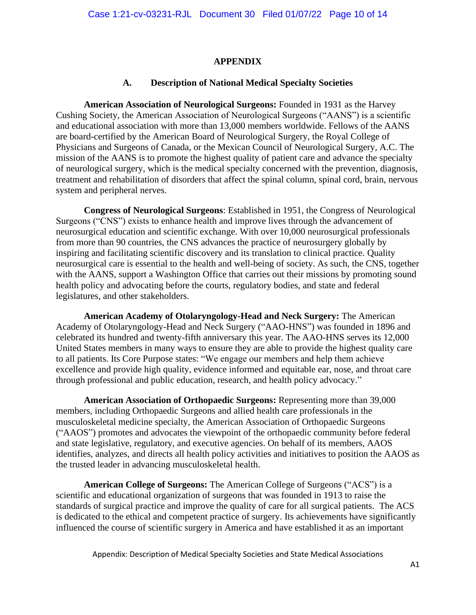#### **APPENDIX**

#### **A. Description of National Medical Specialty Societies**

**American Association of Neurological Surgeons:** Founded in 1931 as the Harvey Cushing Society, the American Association of Neurological Surgeons ("AANS") is a scientific and educational association with more than 13,000 members worldwide. Fellows of the AANS are board-certified by the American Board of Neurological Surgery, the Royal College of Physicians and Surgeons of Canada, or the Mexican Council of Neurological Surgery, A.C. The mission of the AANS is to promote the highest quality of patient care and advance the specialty of neurological surgery, which is the medical specialty concerned with the prevention, diagnosis, treatment and rehabilitation of disorders that affect the spinal column, spinal cord, brain, nervous system and peripheral nerves.

**Congress of Neurological Surgeons**: Established in 1951, the Congress of Neurological Surgeons ("CNS") exists to enhance health and improve lives through the advancement of neurosurgical education and scientific exchange. With over 10,000 neurosurgical professionals from more than 90 countries, the CNS advances the practice of neurosurgery globally by inspiring and facilitating scientific discovery and its translation to clinical practice. Quality neurosurgical care is essential to the health and well-being of society. As such, the CNS, together with the AANS, support a Washington Office that carries out their missions by promoting sound health policy and advocating before the courts, regulatory bodies, and state and federal legislatures, and other stakeholders.

**American Academy of Otolaryngology-Head and Neck Surgery:** The American Academy of Otolaryngology-Head and Neck Surgery ("AAO-HNS") was founded in 1896 and celebrated its hundred and twenty-fifth anniversary this year. The AAO-HNS serves its 12,000 United States members in many ways to ensure they are able to provide the highest quality care to all patients. Its Core Purpose states: "We engage our members and help them achieve excellence and provide high quality, evidence informed and equitable ear, nose, and throat care through professional and public education, research, and health policy advocacy."

**American Association of Orthopaedic Surgeons:** Representing more than 39,000 members, including Orthopaedic Surgeons and allied health care professionals in the musculoskeletal medicine specialty, the American Association of Orthopaedic Surgeons ("AAOS") promotes and advocates the viewpoint of the orthopaedic community before federal and state legislative, regulatory, and executive agencies. On behalf of its members, AAOS identifies, analyzes, and directs all health policy activities and initiatives to position the AAOS as the trusted leader in advancing musculoskeletal health.

**American College of Surgeons:** The American College of Surgeons ("ACS") is a scientific and educational organization of surgeons that was founded in 1913 to raise the standards of surgical practice and improve the quality of care for all surgical patients. The ACS is dedicated to the ethical and competent practice of surgery. Its achievements have significantly influenced the course of scientific surgery in America and have established it as an important

Appendix: Description of Medical Specialty Societies and State Medical Associations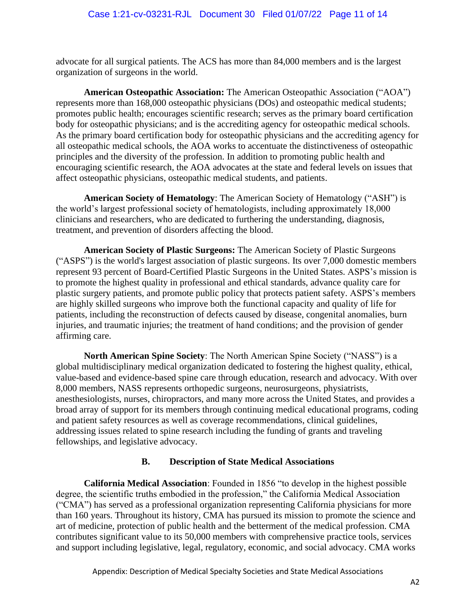advocate for all surgical patients. The ACS has more than 84,000 members and is the largest organization of surgeons in the world.

**American Osteopathic Association:** The American Osteopathic Association ("AOA") represents more than 168,000 osteopathic physicians (DOs) and osteopathic medical students; promotes public health; encourages scientific research; serves as the primary board certification body for osteopathic physicians; and is the accrediting agency for osteopathic medical schools. As the primary board certification body for osteopathic physicians and the accrediting agency for all osteopathic medical schools, the AOA works to accentuate the distinctiveness of osteopathic principles and the diversity of the profession. In addition to promoting public health and encouraging scientific research, the AOA advocates at the state and federal levels on issues that affect osteopathic physicians, osteopathic medical students, and patients.

**American Society of Hematology**: The American Society of Hematology ("ASH") is the world's largest professional society of hematologists, including approximately 18,000 clinicians and researchers, who are dedicated to furthering the understanding, diagnosis, treatment, and prevention of disorders affecting the blood.

**American Society of Plastic Surgeons:** The American Society of Plastic Surgeons ("ASPS") is the world's largest association of plastic surgeons. Its over 7,000 domestic members represent 93 percent of Board-Certified Plastic Surgeons in the United States. ASPS's mission is to promote the highest quality in professional and ethical standards, advance quality care for plastic surgery patients, and promote public policy that protects patient safety. ASPS's members are highly skilled surgeons who improve both the functional capacity and quality of life for patients, including the reconstruction of defects caused by disease, congenital anomalies, burn injuries, and traumatic injuries; the treatment of hand conditions; and the provision of gender affirming care.

**North American Spine Society**: The North American Spine Society ("NASS") is a global multidisciplinary medical organization dedicated to fostering the highest quality, ethical, value-based and evidence-based spine care through education, research and advocacy. With over 8,000 members, NASS represents orthopedic surgeons, neurosurgeons, physiatrists, anesthesiologists, nurses, chiropractors, and many more across the United States, and provides a broad array of support for its members through continuing medical educational programs, coding and patient safety resources as well as coverage recommendations, clinical guidelines, addressing issues related to spine research including the funding of grants and traveling fellowships, and legislative advocacy.

## **B. Description of State Medical Associations**

**California Medical Association**: Founded in 1856 "to develop in the highest possible degree, the scientific truths embodied in the profession," the California Medical Association ("CMA") has served as a professional organization representing California physicians for more than 160 years. Throughout its history, CMA has pursued its mission to promote the science and art of medicine, protection of public health and the betterment of the medical profession. CMA contributes significant value to its 50,000 members with comprehensive practice tools, services and support including legislative, legal, regulatory, economic, and social advocacy. CMA works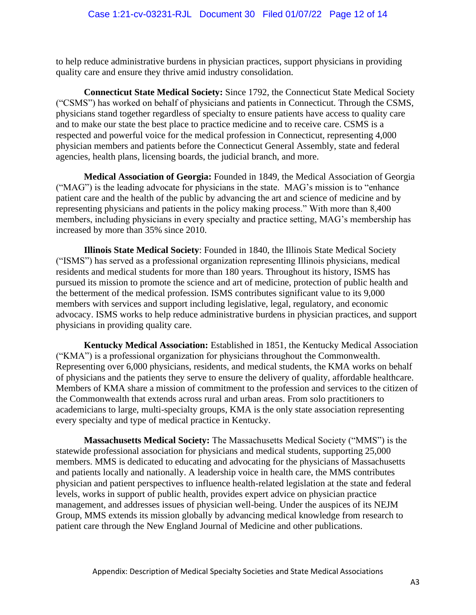to help reduce administrative burdens in physician practices, support physicians in providing quality care and ensure they thrive amid industry consolidation.

**Connecticut State Medical Society:** Since 1792, the Connecticut State Medical Society ("CSMS") has worked on behalf of physicians and patients in Connecticut. Through the CSMS, physicians stand together regardless of specialty to ensure patients have access to quality care and to make our state the best place to practice medicine and to receive care. CSMS is a respected and powerful voice for the medical profession in Connecticut, representing 4,000 physician members and patients before the Connecticut General Assembly, state and federal agencies, health plans, licensing boards, the judicial branch, and more.

**Medical Association of Georgia:** Founded in 1849, the Medical Association of Georgia ("MAG") is the leading advocate for physicians in the state. MAG's mission is to "enhance patient care and the health of the public by advancing the art and science of medicine and by representing physicians and patients in the policy making process." With more than 8,400 members, including physicians in every specialty and practice setting, MAG's membership has increased by more than 35% since 2010.

**Illinois State Medical Society**: Founded in 1840, the Illinois State Medical Society ("ISMS") has served as a professional organization representing Illinois physicians, medical residents and medical students for more than 180 years. Throughout its history, ISMS has pursued its mission to promote the science and art of medicine, protection of public health and the betterment of the medical profession. ISMS contributes significant value to its 9,000 members with services and support including legislative, legal, regulatory, and economic advocacy. ISMS works to help reduce administrative burdens in physician practices, and support physicians in providing quality care.

**Kentucky Medical Association:** Established in 1851, the Kentucky Medical Association ("KMA") is a professional organization for physicians throughout the Commonwealth. Representing over 6,000 physicians, residents, and medical students, the KMA works on behalf of physicians and the patients they serve to ensure the delivery of quality, affordable healthcare. Members of KMA share a mission of commitment to the profession and services to the citizen of the Commonwealth that extends across rural and urban areas. From solo practitioners to academicians to large, multi-specialty groups, KMA is the only state association representing every specialty and type of medical practice in Kentucky.

**Massachusetts Medical Society:** The Massachusetts Medical Society ("MMS") is the statewide professional association for physicians and medical students, supporting 25,000 members. MMS is dedicated to educating and advocating for the physicians of Massachusetts and patients locally and nationally. A leadership voice in health care, the MMS contributes physician and patient perspectives to influence health-related legislation at the state and federal levels, works in support of public health, provides expert advice on physician practice management, and addresses issues of physician well-being. Under the auspices of its NEJM Group, MMS extends its mission globally by advancing medical knowledge from research to patient care through the New England Journal of Medicine and other publications.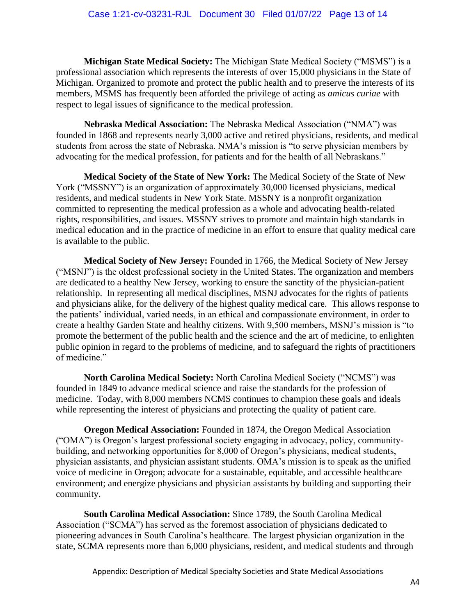**Michigan State Medical Society:** The Michigan State Medical Society ("MSMS") is a professional association which represents the interests of over 15,000 physicians in the State of Michigan. Organized to promote and protect the public health and to preserve the interests of its members, MSMS has frequently been afforded the privilege of acting as *amicus curiae* with respect to legal issues of significance to the medical profession.

**Nebraska Medical Association:** The Nebraska Medical Association ("NMA") was founded in 1868 and represents nearly 3,000 active and retired physicians, residents, and medical students from across the state of Nebraska. NMA's mission is "to serve physician members by advocating for the medical profession, for patients and for the health of all Nebraskans."

**Medical Society of the State of New York:** The Medical Society of the State of New York ("MSSNY") is an organization of approximately 30,000 licensed physicians, medical residents, and medical students in New York State. MSSNY is a nonprofit organization committed to representing the medical profession as a whole and advocating health-related rights, responsibilities, and issues. MSSNY strives to promote and maintain high standards in medical education and in the practice of medicine in an effort to ensure that quality medical care is available to the public.

**Medical Society of New Jersey:** Founded in 1766, the Medical Society of New Jersey ("MSNJ") is the oldest professional society in the United States. The organization and members are dedicated to a healthy New Jersey, working to ensure the sanctity of the physician-patient relationship. In representing all medical disciplines, MSNJ advocates for the rights of patients and physicians alike, for the delivery of the highest quality medical care. This allows response to the patients' individual, varied needs, in an ethical and compassionate environment, in order to create a healthy Garden State and healthy citizens. With 9,500 members, MSNJ's mission is "to promote the betterment of the public health and the science and the art of medicine, to enlighten public opinion in regard to the problems of medicine, and to safeguard the rights of practitioners of medicine."

**North Carolina Medical Society:** North Carolina Medical Society ("NCMS") was founded in 1849 to advance medical science and raise the standards for the profession of medicine. Today, with 8,000 members NCMS continues to champion these goals and ideals while representing the interest of physicians and protecting the quality of patient care.

**Oregon Medical Association:** Founded in 1874, the Oregon Medical Association ("OMA") is Oregon's largest professional society engaging in advocacy, policy, communitybuilding, and networking opportunities for 8,000 of Oregon's physicians, medical students, physician assistants, and physician assistant students. OMA's mission is to speak as the unified voice of medicine in Oregon; advocate for a sustainable, equitable, and accessible healthcare environment; and energize physicians and physician assistants by building and supporting their community.

**South Carolina Medical Association:** Since 1789, the South Carolina Medical Association ("SCMA") has served as the foremost association of physicians dedicated to pioneering advances in South Carolina's healthcare. The largest physician organization in the state, SCMA represents more than 6,000 physicians, resident, and medical students and through

Appendix: Description of Medical Specialty Societies and State Medical Associations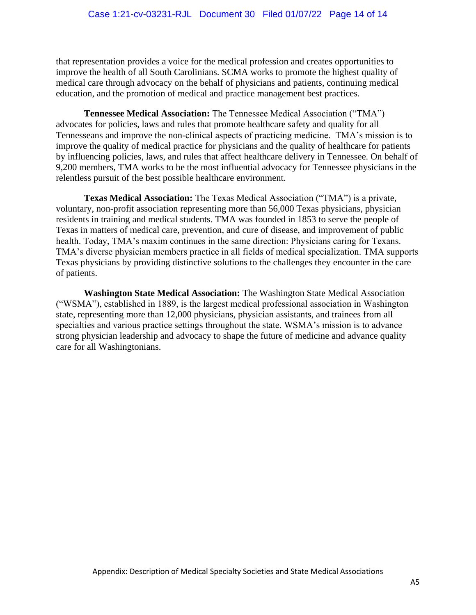that representation provides a voice for the medical profession and creates opportunities to improve the health of all South Carolinians. SCMA works to promote the highest quality of medical care through advocacy on the behalf of physicians and patients, continuing medical education, and the promotion of medical and practice management best practices.

**Tennessee Medical Association:** The Tennessee Medical Association ("TMA") advocates for policies, laws and rules that promote healthcare safety and quality for all Tennesseans and improve the non-clinical aspects of practicing medicine. TMA's mission is to improve the quality of medical practice for physicians and the quality of healthcare for patients by influencing policies, laws, and rules that affect healthcare delivery in Tennessee. On behalf of 9,200 members, TMA works to be the most influential advocacy for Tennessee physicians in the relentless pursuit of the best possible healthcare environment.

**Texas Medical Association:** The Texas Medical Association ("TMA") is a private, voluntary, non-profit association representing more than 56,000 Texas physicians, physician residents in training and medical students. TMA was founded in 1853 to serve the people of Texas in matters of medical care, prevention, and cure of disease, and improvement of public health. Today, TMA's maxim continues in the same direction: Physicians caring for Texans. TMA's diverse physician members practice in all fields of medical specialization. TMA supports Texas physicians by providing distinctive solutions to the challenges they encounter in the care of patients.

**Washington State Medical Association:** The Washington State Medical Association ("WSMA"), established in 1889, is the largest medical professional association in Washington state, representing more than 12,000 physicians, physician assistants, and trainees from all specialties and various practice settings throughout the state. WSMA's mission is to advance strong physician leadership and advocacy to shape the future of medicine and advance quality care for all Washingtonians.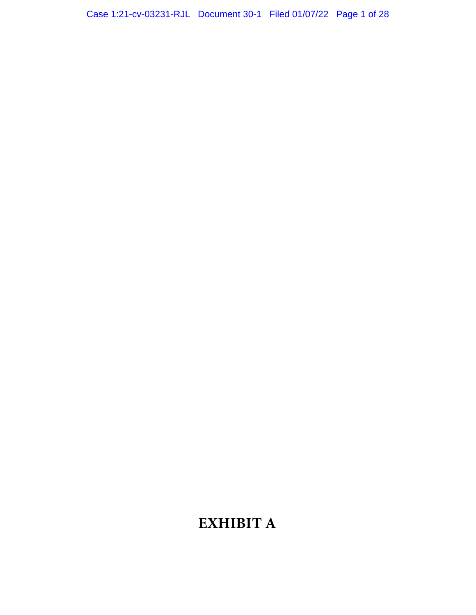## Case 1:21-cv-03231-RJL Document 30-1 Filed 01/07/22 Page 1 of 28

# **EXHIBIT A**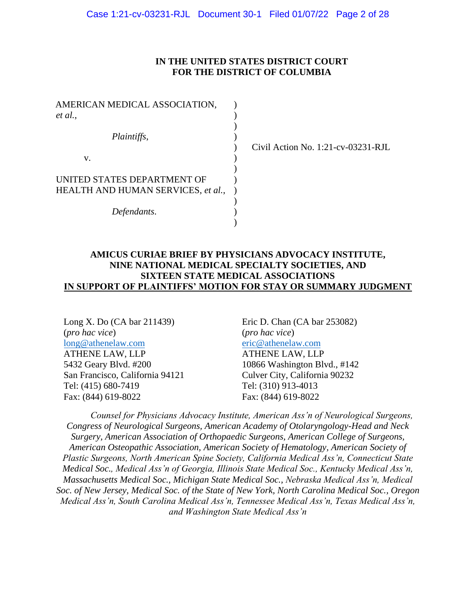#### **IN THE UNITED STATES DISTRICT COURT FOR THE DISTRICT OF COLUMBIA**

| AMERICAN MEDICAL ASSOCIATION,<br>et al., |  |
|------------------------------------------|--|
|                                          |  |
| Plaintiffs,                              |  |
| v.                                       |  |
| UNITED STATES DEPARTMENT OF              |  |
| HEALTH AND HUMAN SERVICES, et al.,       |  |
| Defendants.                              |  |
|                                          |  |

Civil Action No. 1:21-cv-03231-RJL

#### **AMICUS CURIAE BRIEF BY PHYSICIANS ADVOCACY INSTITUTE, NINE NATIONAL MEDICAL SPECIALTY SOCIETIES, AND SIXTEEN STATE MEDICAL ASSOCIATIONS IN SUPPORT OF PLAINTIFFS' MOTION FOR STAY OR SUMMARY JUDGMENT**

Long X. Do (CA bar 211439) (*pro hac vice*) [long@athenelaw.com](mailto:long@athenelaw.com) ATHENE LAW, LLP 5432 Geary Blvd. #200 San Francisco, California 94121 Tel: (415) 680-7419 Fax: (844) 619-8022

Eric D. Chan (CA bar 253082) (*pro hac vice*) [eric@athenelaw.com](mailto:eric@athenelaw.com) ATHENE LAW, LLP 10866 Washington Blvd., #142 Culver City, California 90232 Tel: (310) 913-4013 Fax: (844) 619-8022

*Counsel for Physicians Advocacy Institute, American Ass'n of Neurological Surgeons, Congress of Neurological Surgeons, American Academy of Otolaryngology-Head and Neck Surgery, American Association of Orthopaedic Surgeons, American College of Surgeons, American Osteopathic Association, American Society of Hematology, American Society of Plastic Surgeons, North American Spine Society, California Medical Ass'n, Connecticut State Medical Soc., Medical Ass'n of Georgia, Illinois State Medical Soc., Kentucky Medical Ass'n, Massachusetts Medical Soc., Michigan State Medical Soc., Nebraska Medical Ass'n, Medical Soc. of New Jersey, Medical Soc. of the State of New York, North Carolina Medical Soc., Oregon Medical Ass'n, South Carolina Medical Ass'n, Tennessee Medical Ass'n, Texas Medical Ass'n, and Washington State Medical Ass'n*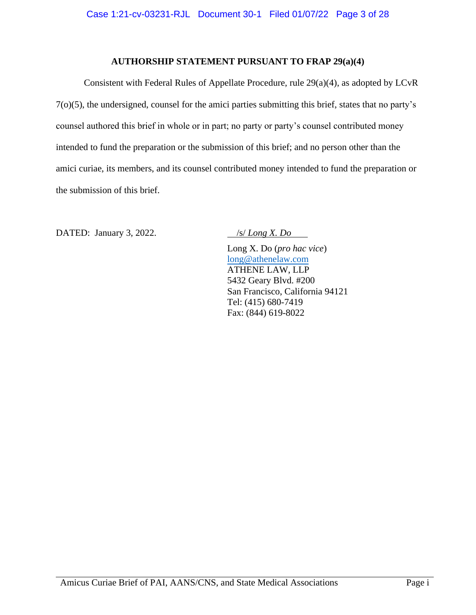### **AUTHORSHIP STATEMENT PURSUANT TO FRAP 29(a)(4)**

Consistent with Federal Rules of Appellate Procedure, rule 29(a)(4), as adopted by LCvR 7(o)(5), the undersigned, counsel for the amici parties submitting this brief, states that no party's counsel authored this brief in whole or in part; no party or party's counsel contributed money intended to fund the preparation or the submission of this brief; and no person other than the amici curiae, its members, and its counsel contributed money intended to fund the preparation or the submission of this brief.

DATED: January 3, 2022. */s/ Long X. Do* 

Long X. Do (*pro hac vice*) [long@athenelaw.com](mailto:long@athenelaw.com) ATHENE LAW, LLP 5432 Geary Blvd. #200 San Francisco, California 94121 Tel: (415) 680-7419 Fax: (844) 619-8022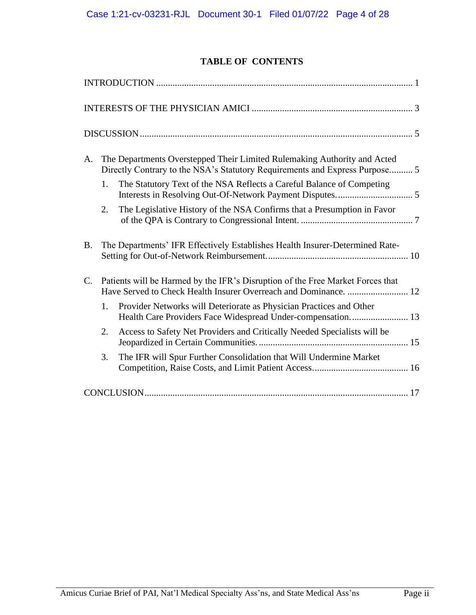## **TABLE OF CONTENTS**

| A.          | The Departments Overstepped Their Limited Rulemaking Authority and Acted<br>Directly Contrary to the NSA's Statutory Requirements and Express Purpose 5 |                                                                              |  |  |  |
|-------------|---------------------------------------------------------------------------------------------------------------------------------------------------------|------------------------------------------------------------------------------|--|--|--|
|             | 1.                                                                                                                                                      | The Statutory Text of the NSA Reflects a Careful Balance of Competing        |  |  |  |
|             | 2.                                                                                                                                                      | The Legislative History of the NSA Confirms that a Presumption in Favor      |  |  |  |
| <b>B.</b>   |                                                                                                                                                         | The Departments' IFR Effectively Establishes Health Insurer-Determined Rate- |  |  |  |
| $C_{\cdot}$ | Patients will be Harmed by the IFR's Disruption of the Free Market Forces that<br>Have Served to Check Health Insurer Overreach and Dominance.  12      |                                                                              |  |  |  |
|             | 1.                                                                                                                                                      | Provider Networks will Deteriorate as Physician Practices and Other          |  |  |  |
|             | 2.                                                                                                                                                      | Access to Safety Net Providers and Critically Needed Specialists will be     |  |  |  |
|             | 3.                                                                                                                                                      | The IFR will Spur Further Consolidation that Will Undermine Market           |  |  |  |
|             |                                                                                                                                                         |                                                                              |  |  |  |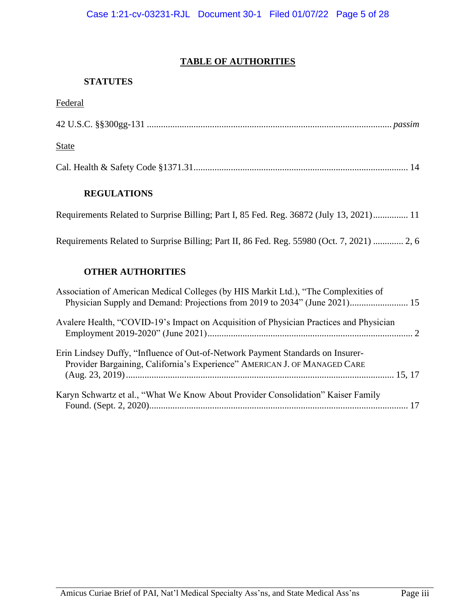## **TABLE OF AUTHORITIES**

## **STATUTES**

## **Federal**

| <b>State</b>                                                                                                                                                      |
|-------------------------------------------------------------------------------------------------------------------------------------------------------------------|
|                                                                                                                                                                   |
| <b>REGULATIONS</b>                                                                                                                                                |
| Requirements Related to Surprise Billing; Part I, 85 Fed. Reg. 36872 (July 13, 2021) 11                                                                           |
| Requirements Related to Surprise Billing; Part II, 86 Fed. Reg. 55980 (Oct. 7, 2021)  2, 6                                                                        |
| <b>OTHER AUTHORITIES</b>                                                                                                                                          |
| Association of American Medical Colleges (by HIS Markit Ltd.), "The Complexities of<br>Physician Supply and Demand: Projections from 2019 to 2034" (June 2021) 15 |
| Avalere Health, "COVID-19's Impact on Acquisition of Physician Practices and Physician                                                                            |
| Erin Lindsey Duffy, "Influence of Out-of-Network Payment Standards on Insurer-<br>Provider Bargaining, California's Experience" AMERICAN J. OF MANAGED CARE       |

Karyn Schwartz et al., "What We Know About Provider Consolidation" Kaiser Family

Found. (Sept. 2, 2020)............................................................................................................... 17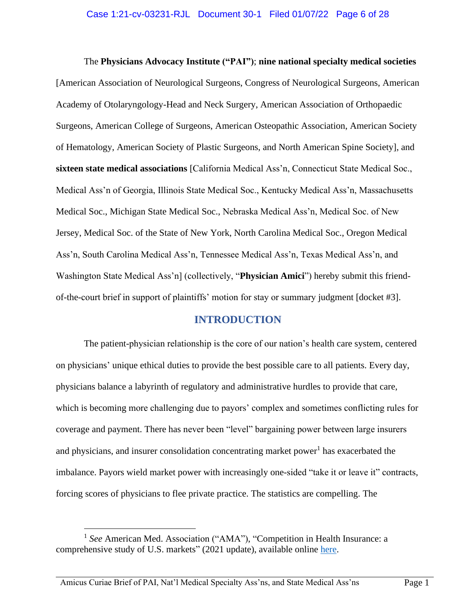<span id="page-19-0"></span>The **Physicians Advocacy Institute ("PAI")**; **nine national specialty medical societies** [American Association of Neurological Surgeons, Congress of Neurological Surgeons, American Academy of Otolaryngology-Head and Neck Surgery, American Association of Orthopaedic Surgeons, American College of Surgeons, American Osteopathic Association, American Society of Hematology, American Society of Plastic Surgeons, and North American Spine Society], and **sixteen state medical associations** [California Medical Ass'n, Connecticut State Medical Soc., Medical Ass'n of Georgia, Illinois State Medical Soc., Kentucky Medical Ass'n, Massachusetts Medical Soc., Michigan State Medical Soc., Nebraska Medical Ass'n, Medical Soc. of New Jersey, Medical Soc. of the State of New York, North Carolina Medical Soc., Oregon Medical Ass'n, South Carolina Medical Ass'n, Tennessee Medical Ass'n, Texas Medical Ass'n, and Washington State Medical Ass'n] (collectively, "**Physician Amici**") hereby submit this friendof-the-court brief in support of plaintiffs' motion for stay or summary judgment [docket #3].

## **INTRODUCTION**

The patient-physician relationship is the core of our nation's health care system, centered on physicians' unique ethical duties to provide the best possible care to all patients. Every day, physicians balance a labyrinth of regulatory and administrative hurdles to provide that care, which is becoming more challenging due to payors' complex and sometimes conflicting rules for coverage and payment. There has never been "level" bargaining power between large insurers and physicians, and insurer consolidation concentrating market power<sup>1</sup> has exacerbated the imbalance. Payors wield market power with increasingly one-sided "take it or leave it" contracts, forcing scores of physicians to flee private practice. The statistics are compelling. The

<sup>&</sup>lt;sup>1</sup> See American Med. Association ("AMA"), "Competition in Health Insurance: a comprehensive study of U.S. markets" (2021 update), available online [here.](https://www.ama-assn.org/system/files/competition-health-insurance-us-markets.pdf)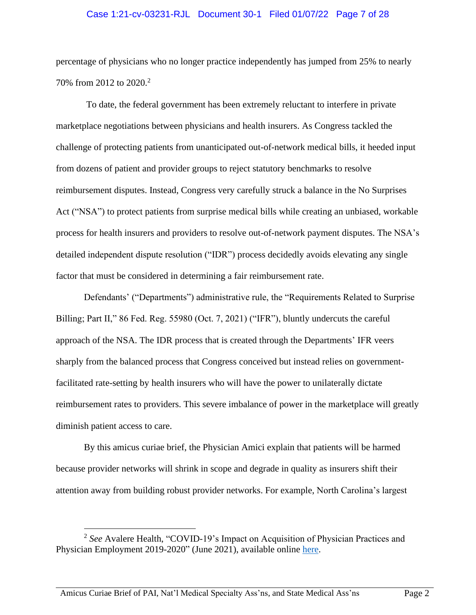#### Case 1:21-cv-03231-RJL Document 30-1 Filed 01/07/22 Page 7 of 28

percentage of physicians who no longer practice independently has jumped from 25% to nearly 70% from 2012 to 2020. 2

To date, the federal government has been extremely reluctant to interfere in private marketplace negotiations between physicians and health insurers. As Congress tackled the challenge of protecting patients from unanticipated out-of-network medical bills, it heeded input from dozens of patient and provider groups to reject statutory benchmarks to resolve reimbursement disputes. Instead, Congress very carefully struck a balance in the No Surprises Act ("NSA") to protect patients from surprise medical bills while creating an unbiased, workable process for health insurers and providers to resolve out-of-network payment disputes. The NSA's detailed independent dispute resolution ("IDR") process decidedly avoids elevating any single factor that must be considered in determining a fair reimbursement rate.

Defendants' ("Departments") administrative rule, the "Requirements Related to Surprise Billing; Part II," 86 Fed. Reg. 55980 (Oct. 7, 2021) ("IFR"), bluntly undercuts the careful approach of the NSA. The IDR process that is created through the Departments' IFR veers sharply from the balanced process that Congress conceived but instead relies on governmentfacilitated rate-setting by health insurers who will have the power to unilaterally dictate reimbursement rates to providers. This severe imbalance of power in the marketplace will greatly diminish patient access to care.

By this amicus curiae brief, the Physician Amici explain that patients will be harmed because provider networks will shrink in scope and degrade in quality as insurers shift their attention away from building robust provider networks. For example, North Carolina's largest

<sup>&</sup>lt;sup>2</sup> See Avalere Health, "COVID-19's Impact on Acquisition of Physician Practices and Physician Employment 2019-2020" (June 2021), available online [here.](www.physiciansadvocacyinstitute.org/Portals/0/assets/docs/Revised-6-8-21_PAI-Physician-Employment-Study-2021-FINAL.pdf?ver=K6dyoekRSC_c59U8QD1V-A%3d%3d)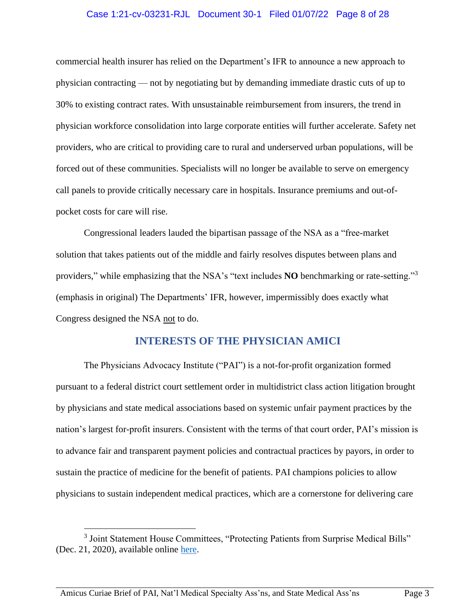#### Case 1:21-cv-03231-RJL Document 30-1 Filed 01/07/22 Page 8 of 28

commercial health insurer has relied on the Department's IFR to announce a new approach to physician contracting — not by negotiating but by demanding immediate drastic cuts of up to 30% to existing contract rates. With unsustainable reimbursement from insurers, the trend in physician workforce consolidation into large corporate entities will further accelerate. Safety net providers, who are critical to providing care to rural and underserved urban populations, will be forced out of these communities. Specialists will no longer be available to serve on emergency call panels to provide critically necessary care in hospitals. Insurance premiums and out-ofpocket costs for care will rise.

Congressional leaders lauded the bipartisan passage of the NSA as a "free-market solution that takes patients out of the middle and fairly resolves disputes between plans and providers," while emphasizing that the NSA's "text includes **NO** benchmarking or rate-setting."<sup>3</sup> (emphasis in original) The Departments' IFR, however, impermissibly does exactly what Congress designed the NSA not to do.

#### **INTERESTS OF THE PHYSICIAN AMICI**

<span id="page-21-0"></span>The Physicians Advocacy Institute ("PAI") is a not-for-profit organization formed pursuant to a federal district court settlement order in multidistrict class action litigation brought by physicians and state medical associations based on systemic unfair payment practices by the nation's largest for-profit insurers. Consistent with the terms of that court order, PAI's mission is to advance fair and transparent payment policies and contractual practices by payors, in order to sustain the practice of medicine for the benefit of patients. PAI champions policies to allow physicians to sustain independent medical practices, which are a cornerstone for delivering care

<sup>&</sup>lt;sup>3</sup> Joint Statement House Committees, "Protecting Patients from Surprise Medical Bills" (Dec. 21, 2020), available online [here.](https://gop-waysandmeans.house.gov/protecting-patients-from-surprise-medical-bills/)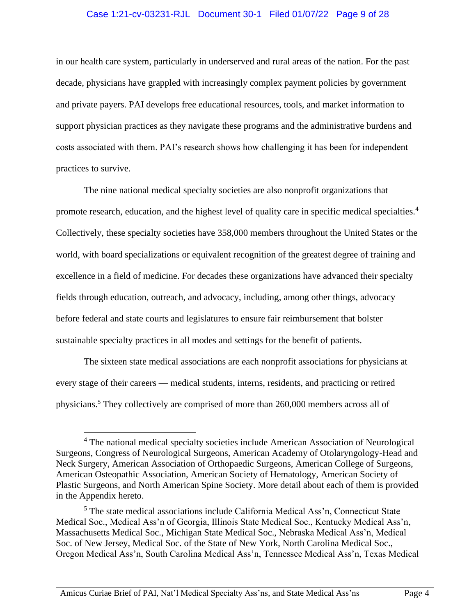#### Case 1:21-cv-03231-RJL Document 30-1 Filed 01/07/22 Page 9 of 28

in our health care system, particularly in underserved and rural areas of the nation. For the past decade, physicians have grappled with increasingly complex payment policies by government and private payers. PAI develops free educational resources, tools, and market information to support physician practices as they navigate these programs and the administrative burdens and costs associated with them. PAI's research shows how challenging it has been for independent practices to survive.

The nine national medical specialty societies are also nonprofit organizations that promote research, education, and the highest level of quality care in specific medical specialties.<sup>4</sup> Collectively, these specialty societies have 358,000 members throughout the United States or the world, with board specializations or equivalent recognition of the greatest degree of training and excellence in a field of medicine. For decades these organizations have advanced their specialty fields through education, outreach, and advocacy, including, among other things, advocacy before federal and state courts and legislatures to ensure fair reimbursement that bolster sustainable specialty practices in all modes and settings for the benefit of patients.

The sixteen state medical associations are each nonprofit associations for physicians at every stage of their careers — medical students, interns, residents, and practicing or retired physicians.<sup>5</sup> They collectively are comprised of more than 260,000 members across all of

<sup>4</sup> The national medical specialty societies include American Association of Neurological Surgeons, Congress of Neurological Surgeons, American Academy of Otolaryngology-Head and Neck Surgery, American Association of Orthopaedic Surgeons, American College of Surgeons, American Osteopathic Association, American Society of Hematology, American Society of Plastic Surgeons, and North American Spine Society. More detail about each of them is provided in the Appendix hereto.

<sup>5</sup> The state medical associations include California Medical Ass'n, Connecticut State Medical Soc., Medical Ass'n of Georgia, Illinois State Medical Soc., Kentucky Medical Ass'n, Massachusetts Medical Soc., Michigan State Medical Soc., Nebraska Medical Ass'n, Medical Soc. of New Jersey, Medical Soc. of the State of New York, North Carolina Medical Soc., Oregon Medical Ass'n, South Carolina Medical Ass'n, Tennessee Medical Ass'n, Texas Medical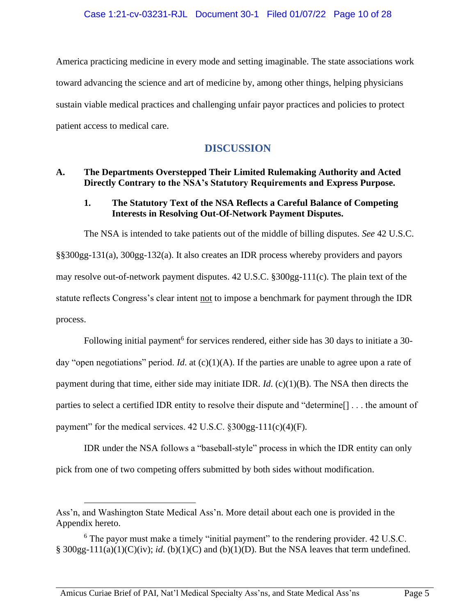America practicing medicine in every mode and setting imaginable. The state associations work toward advancing the science and art of medicine by, among other things, helping physicians sustain viable medical practices and challenging unfair payor practices and policies to protect patient access to medical care.

## **DISCUSSION**

## <span id="page-23-1"></span><span id="page-23-0"></span>**A. The Departments Overstepped Their Limited Rulemaking Authority and Acted Directly Contrary to the NSA's Statutory Requirements and Express Purpose.**

## <span id="page-23-2"></span>**1. The Statutory Text of the NSA Reflects a Careful Balance of Competing Interests in Resolving Out-Of-Network Payment Disputes.**

The NSA is intended to take patients out of the middle of billing disputes. *See* 42 U.S.C. §§300gg-131(a), 300gg-132(a). It also creates an IDR process whereby providers and payors may resolve out-of-network payment disputes. 42 U.S.C. §300gg-111(c). The plain text of the statute reflects Congress's clear intent not to impose a benchmark for payment through the IDR process.

Following initial payment<sup>6</sup> for services rendered, either side has 30 days to initiate a 30day "open negotiations" period. *Id*. at  $(c)(1)(A)$ . If the parties are unable to agree upon a rate of payment during that time, either side may initiate IDR. *Id*. (c)(1)(B). The NSA then directs the parties to select a certified IDR entity to resolve their dispute and "determine[] . . . the amount of payment" for the medical services. 42 U.S.C. §300gg-111(c)(4)(F).

IDR under the NSA follows a "baseball-style" process in which the IDR entity can only pick from one of two competing offers submitted by both sides without modification.

Ass'n, and Washington State Medical Ass'n. More detail about each one is provided in the Appendix hereto.

<sup>6</sup> The payor must make a timely "initial payment" to the rendering provider. 42 U.S.C. § 300gg-111(a)(1)(C)(iv); *id*. (b)(1)(C) and (b)(1)(D). But the NSA leaves that term undefined.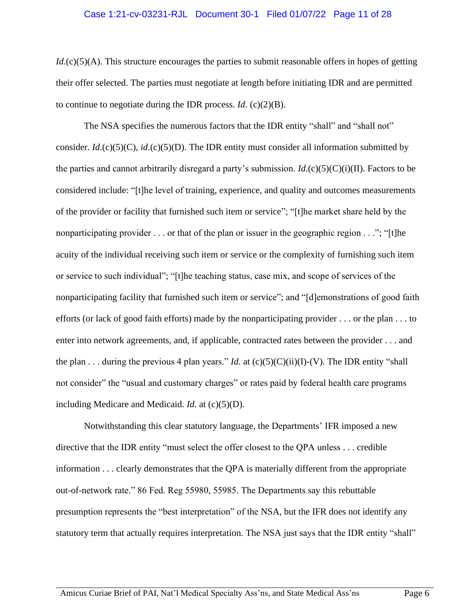#### Case 1:21-cv-03231-RJL Document 30-1 Filed 01/07/22 Page 11 of 28

*Id*.(c)(5)(A). This structure encourages the parties to submit reasonable offers in hopes of getting their offer selected. The parties must negotiate at length before initiating IDR and are permitted to continue to negotiate during the IDR process. *Id*. (c)(2)(B).

The NSA specifies the numerous factors that the IDR entity "shall" and "shall not" consider.  $Id$ .(c)(5)(C),  $id$ .(c)(5)(D). The IDR entity must consider all information submitted by the parties and cannot arbitrarily disregard a party's submission. *Id*.(c)(5)(C)(i)(II). Factors to be considered include: "[t]he level of training, experience, and quality and outcomes measurements of the provider or facility that furnished such item or service"; "[t]he market share held by the nonparticipating provider . . . or that of the plan or issuer in the geographic region . . ."; "[t]he acuity of the individual receiving such item or service or the complexity of furnishing such item or service to such individual"; "[t]he teaching status, case mix, and scope of services of the nonparticipating facility that furnished such item or service"; and "[d]emonstrations of good faith efforts (or lack of good faith efforts) made by the nonparticipating provider . . . or the plan . . . to enter into network agreements, and, if applicable, contracted rates between the provider . . . and the plan . . . during the previous 4 plan years." *Id.* at  $(c)(5)(C)(ii)(I)-(V)$ . The IDR entity "shall not consider" the "usual and customary charges" or rates paid by federal health care programs including Medicare and Medicaid. *Id.* at (c)(5)(D).

Notwithstanding this clear statutory language, the Departments' IFR imposed a new directive that the IDR entity "must select the offer closest to the QPA unless . . . credible information . . . clearly demonstrates that the QPA is materially different from the appropriate out-of-network rate." 86 Fed. Reg 55980, 55985. The Departments say this rebuttable presumption represents the "best interpretation" of the NSA, but the IFR does not identify any statutory term that actually requires interpretation. The NSA just says that the IDR entity "shall"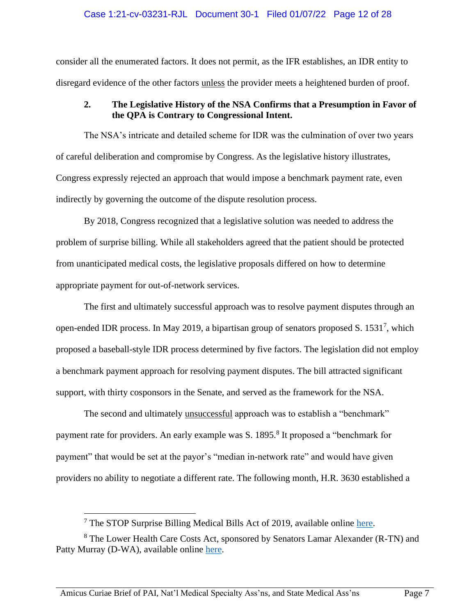#### Case 1:21-cv-03231-RJL Document 30-1 Filed 01/07/22 Page 12 of 28

consider all the enumerated factors. It does not permit, as the IFR establishes, an IDR entity to disregard evidence of the other factors unless the provider meets a heightened burden of proof.

## <span id="page-25-0"></span>**2. The Legislative History of the NSA Confirms that a Presumption in Favor of the QPA is Contrary to Congressional Intent.**

The NSA's intricate and detailed scheme for IDR was the culmination of over two years of careful deliberation and compromise by Congress. As the legislative history illustrates, Congress expressly rejected an approach that would impose a benchmark payment rate, even indirectly by governing the outcome of the dispute resolution process.

By 2018, Congress recognized that a legislative solution was needed to address the problem of surprise billing. While all stakeholders agreed that the patient should be protected from unanticipated medical costs, the legislative proposals differed on how to determine appropriate payment for out-of-network services.

The first and ultimately successful approach was to resolve payment disputes through an open-ended IDR process. In May 2019, a bipartisan group of senators proposed S. 1531<sup>7</sup>, which proposed a baseball-style IDR process determined by five factors. The legislation did not employ a benchmark payment approach for resolving payment disputes. The bill attracted significant support, with thirty cosponsors in the Senate, and served as the framework for the NSA.

The second and ultimately unsuccessful approach was to establish a "benchmark" payment rate for providers. An early example was S. 1895.<sup>8</sup> It proposed a "benchmark for payment" that would be set at the payor's "median in-network rate" and would have given providers no ability to negotiate a different rate. The following month, H.R. 3630 established a

 $7$  The STOP Surprise Billing Medical Bills Act of 2019, available online [here.](https://www.congress.gov/bill/116th-congress/senate-bill/1531/text)

<sup>8</sup> The Lower Health Care Costs Act, sponsored by Senators Lamar Alexander (R-TN) and Patty Murray (D-WA), available online [here.](https://www.congress.gov/bill/116th-congress/senate-bill/1895/text)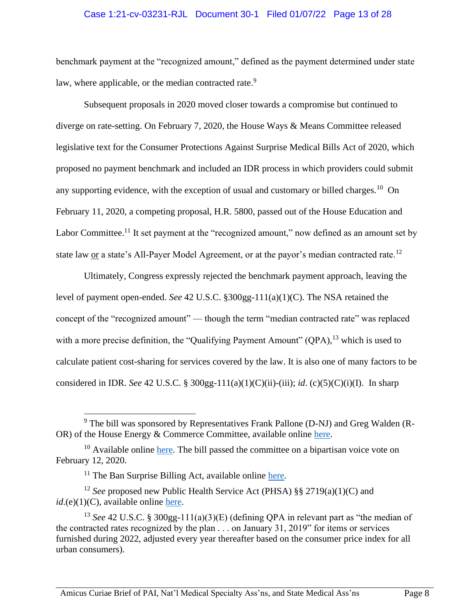#### Case 1:21-cv-03231-RJL Document 30-1 Filed 01/07/22 Page 13 of 28

benchmark payment at the "recognized amount," defined as the payment determined under state law, where applicable, or the median contracted rate.<sup>9</sup>

Subsequent proposals in 2020 moved closer towards a compromise but continued to diverge on rate-setting. On February 7, 2020, the House Ways & Means Committee released legislative text for the Consumer Protections Against Surprise Medical Bills Act of 2020, which proposed no payment benchmark and included an IDR process in which providers could submit any supporting evidence, with the exception of usual and customary or billed charges.<sup>10</sup> On February 11, 2020, a competing proposal, H.R. 5800, passed out of the House Education and Labor Committee.<sup>11</sup> It set payment at the "recognized amount," now defined as an amount set by state law or a state's All-Payer Model Agreement, or at the payor's median contracted rate.<sup>12</sup>

Ultimately, Congress expressly rejected the benchmark payment approach, leaving the level of payment open-ended. *See* 42 U.S.C. §300gg-111(a)(1)(C). The NSA retained the concept of the "recognized amount" — though the term "median contracted rate" was replaced with a more precise definition, the "Qualifying Payment Amount" (QPA),<sup>13</sup> which is used to calculate patient cost-sharing for services covered by the law. It is also one of many factors to be considered in IDR. *See* 42 U.S.C. § 300gg-111(a)(1)(C)(ii)-(iii); *id*. (c)(5)(C)(i)(I). In sharp

 $9$  The bill was sponsored by Representatives Frank Pallone (D-NJ) and Greg Walden (R-OR) of the House Energy & Commerce Committee, available online [here.](https://www.congress.gov/bill/116th-congress/house-bill/3630/text)

 $10$  Available online [here.](https://waysandmeans.house.gov/media-center/press-releases/neal-and-brady-release-legislative-text-surprise-medical-billing) The bill passed the committee on a bipartisan voice vote on February 12, 2020.

 $11$  The Ban Surprise Billing Act, available online [here.](https://edlabor.house.gov/hearings/hr-5800-ban-surprise-billing-act)

<sup>12</sup> *See* proposed new Public Health Service Act (PHSA) §§ 2719(a)(1)(C) and  $id.(e)(1)(C)$ , available online [here.](https://edlabor.house.gov/imo/media/doc/SURPRISEBILL-EL_02_xml.pdf)

<sup>13</sup> *See* 42 U.S.C. § 300gg-111(a)(3)(E) (defining QPA in relevant part as "the median of the contracted rates recognized by the plan . . . on January 31, 2019" for items or services furnished during 2022, adjusted every year thereafter based on the consumer price index for all urban consumers).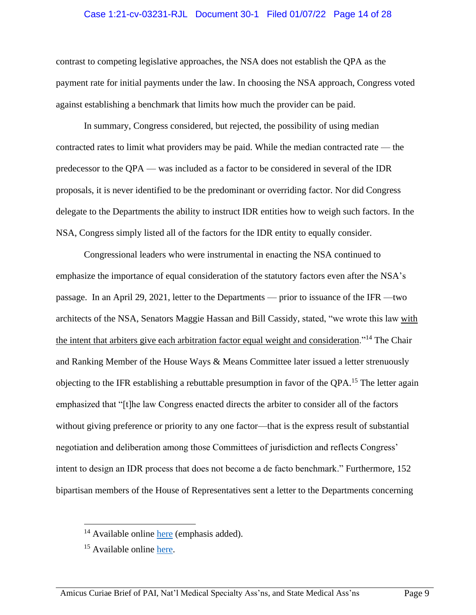#### Case 1:21-cv-03231-RJL Document 30-1 Filed 01/07/22 Page 14 of 28

contrast to competing legislative approaches, the NSA does not establish the QPA as the payment rate for initial payments under the law. In choosing the NSA approach, Congress voted against establishing a benchmark that limits how much the provider can be paid.

In summary, Congress considered, but rejected, the possibility of using median contracted rates to limit what providers may be paid. While the median contracted rate — the predecessor to the QPA — was included as a factor to be considered in several of the IDR proposals, it is never identified to be the predominant or overriding factor. Nor did Congress delegate to the Departments the ability to instruct IDR entities how to weigh such factors. In the NSA, Congress simply listed all of the factors for the IDR entity to equally consider.

Congressional leaders who were instrumental in enacting the NSA continued to emphasize the importance of equal consideration of the statutory factors even after the NSA's passage. In an April 29, 2021, letter to the Departments — prior to issuance of the IFR —two architects of the NSA, Senators Maggie Hassan and Bill Cassidy, stated, "we wrote this law with the intent that arbiters give each arbitration factor equal weight and consideration."<sup>14</sup> The Chair and Ranking Member of the House Ways & Means Committee later issued a letter strenuously objecting to the IFR establishing a rebuttable presumption in favor of the QPA.<sup>15</sup> The letter again emphasized that "[t]he law Congress enacted directs the arbiter to consider all of the factors without giving preference or priority to any one factor—that is the express result of substantial negotiation and deliberation among those Committees of jurisdiction and reflects Congress' intent to design an IDR process that does not become a de facto benchmark." Furthermore, 152 bipartisan members of the House of Representatives sent a letter to the Departments concerning

<sup>&</sup>lt;sup>14</sup> Available online [here](https://www.cassidy.senate.gov/imo/media/doc/SMB%20Letter%20Final_4_29_21.pdf) (emphasis added).

<sup>&</sup>lt;sup>15</sup> Available online [here.](https://www.gnyha.org/wp-content/uploads/2021/10/2021.10.04-REN-KB-Surprise-Billing-Letter80.pdf)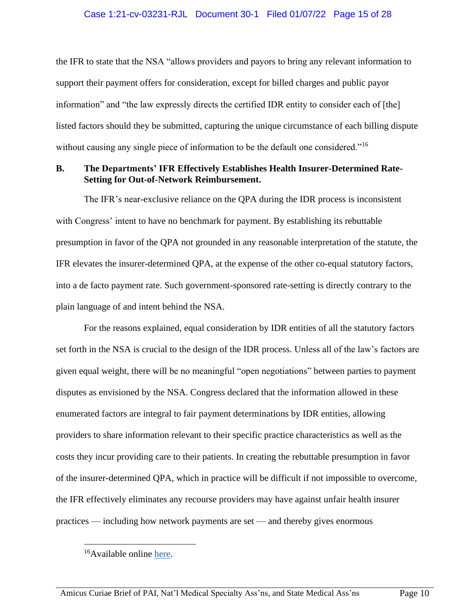the IFR to state that the NSA "allows providers and payors to bring any relevant information to support their payment offers for consideration, except for billed charges and public payor information" and "the law expressly directs the certified IDR entity to consider each of [the] listed factors should they be submitted, capturing the unique circumstance of each billing dispute without causing any single piece of information to be the default one considered.<sup>"16</sup>

#### <span id="page-28-0"></span>**B. The Departments' IFR Effectively Establishes Health Insurer-Determined Rate-Setting for Out-of-Network Reimbursement.**

The IFR's near-exclusive reliance on the QPA during the IDR process is inconsistent with Congress' intent to have no benchmark for payment. By establishing its rebuttable presumption in favor of the QPA not grounded in any reasonable interpretation of the statute, the IFR elevates the insurer-determined QPA, at the expense of the other co-equal statutory factors, into a de facto payment rate. Such government-sponsored rate-setting is directly contrary to the plain language of and intent behind the NSA.

For the reasons explained, equal consideration by IDR entities of all the statutory factors set forth in the NSA is crucial to the design of the IDR process. Unless all of the law's factors are given equal weight, there will be no meaningful "open negotiations" between parties to payment disputes as envisioned by the NSA. Congress declared that the information allowed in these enumerated factors are integral to fair payment determinations by IDR entities, allowing providers to share information relevant to their specific practice characteristics as well as the costs they incur providing care to their patients. In creating the rebuttable presumption in favor of the insurer-determined QPA, which in practice will be difficult if not impossible to overcome, the IFR effectively eliminates any recourse providers may have against unfair health insurer practices — including how network payments are set — and thereby gives enormous

<sup>&</sup>lt;sup>16</sup>Available online [here.](https://wenstrup.house.gov/uploadedfiles/2021.11.05_no_surprises_act_letter.pdf)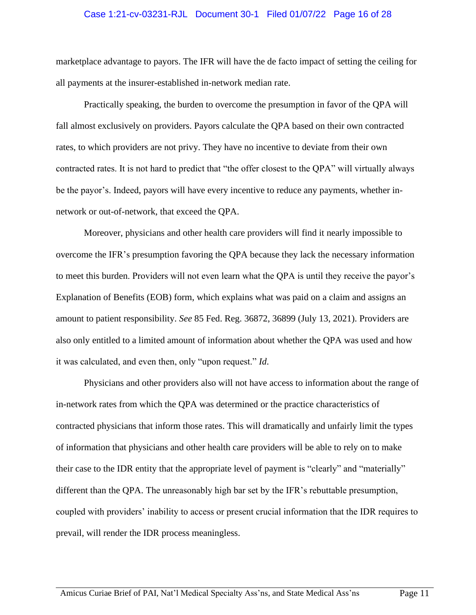#### Case 1:21-cv-03231-RJL Document 30-1 Filed 01/07/22 Page 16 of 28

marketplace advantage to payors. The IFR will have the de facto impact of setting the ceiling for all payments at the insurer-established in-network median rate.

Practically speaking, the burden to overcome the presumption in favor of the QPA will fall almost exclusively on providers. Payors calculate the QPA based on their own contracted rates, to which providers are not privy. They have no incentive to deviate from their own contracted rates. It is not hard to predict that "the offer closest to the QPA" will virtually always be the payor's. Indeed, payors will have every incentive to reduce any payments, whether innetwork or out-of-network, that exceed the QPA.

Moreover, physicians and other health care providers will find it nearly impossible to overcome the IFR's presumption favoring the QPA because they lack the necessary information to meet this burden. Providers will not even learn what the QPA is until they receive the payor's Explanation of Benefits (EOB) form, which explains what was paid on a claim and assigns an amount to patient responsibility. *See* 85 Fed. Reg. 36872, 36899 (July 13, 2021). Providers are also only entitled to a limited amount of information about whether the QPA was used and how it was calculated, and even then, only "upon request." *Id*.

Physicians and other providers also will not have access to information about the range of in-network rates from which the QPA was determined or the practice characteristics of contracted physicians that inform those rates. This will dramatically and unfairly limit the types of information that physicians and other health care providers will be able to rely on to make their case to the IDR entity that the appropriate level of payment is "clearly" and "materially" different than the QPA. The unreasonably high bar set by the IFR's rebuttable presumption, coupled with providers' inability to access or present crucial information that the IDR requires to prevail, will render the IDR process meaningless.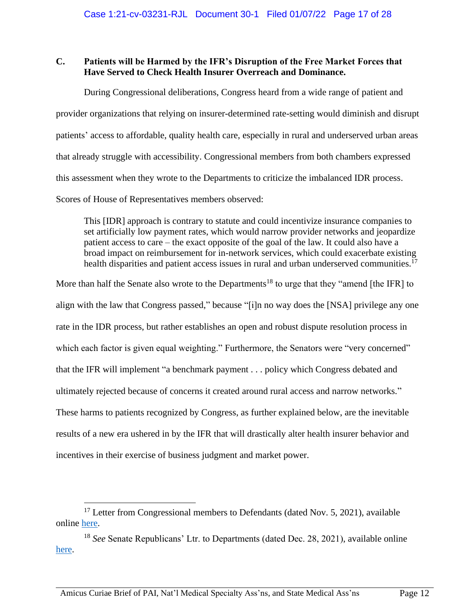## <span id="page-30-0"></span>**C. Patients will be Harmed by the IFR's Disruption of the Free Market Forces that Have Served to Check Health Insurer Overreach and Dominance.**

During Congressional deliberations, Congress heard from a wide range of patient and provider organizations that relying on insurer-determined rate-setting would diminish and disrupt patients' access to affordable, quality health care, especially in rural and underserved urban areas that already struggle with accessibility. Congressional members from both chambers expressed this assessment when they wrote to the Departments to criticize the imbalanced IDR process. Scores of House of Representatives members observed:

This [IDR] approach is contrary to statute and could incentivize insurance companies to set artificially low payment rates, which would narrow provider networks and jeopardize patient access to care – the exact opposite of the goal of the law. It could also have a broad impact on reimbursement for in-network services, which could exacerbate existing health disparities and patient access issues in rural and urban underserved communities.<sup>17</sup>

More than half the Senate also wrote to the Departments<sup>18</sup> to urge that they "amend [the IFR] to align with the law that Congress passed," because "[i]n no way does the [NSA] privilege any one rate in the IDR process, but rather establishes an open and robust dispute resolution process in which each factor is given equal weighting." Furthermore, the Senators were "very concerned" that the IFR will implement "a benchmark payment . . . policy which Congress debated and ultimately rejected because of concerns it created around rural access and narrow networks." These harms to patients recognized by Congress, as further explained below, are the inevitable results of a new era ushered in by the IFR that will drastically alter health insurer behavior and incentives in their exercise of business judgment and market power.

<sup>&</sup>lt;sup>17</sup> Letter from Congressional members to Defendants (dated Nov. 5, 2021), available online [here.](https://wenstrup.house.gov/uploadedfiles/2021.11.05_no_surprises_act_letter.pdf)

<sup>18</sup> *See* Senate Republicans' Ltr. to Departments (dated Dec. 28, 2021), available online [here.](https://www.cassidy.senate.gov/imo/media/doc/Surprise%20Billing%20Letter%2012_28_21_final.pdf)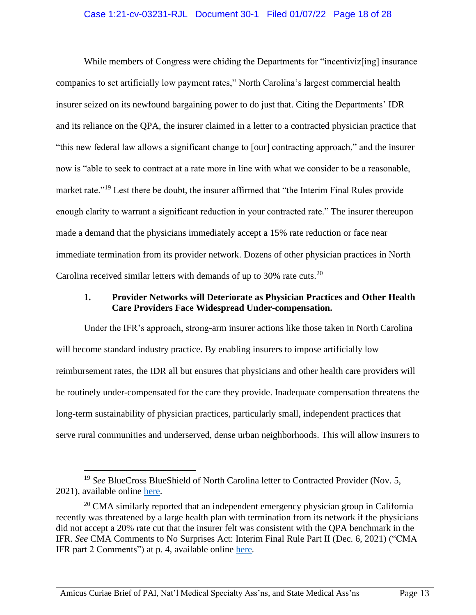#### Case 1:21-cv-03231-RJL Document 30-1 Filed 01/07/22 Page 18 of 28

While members of Congress were chiding the Departments for "incentiviz[ing] insurance companies to set artificially low payment rates," North Carolina's largest commercial health insurer seized on its newfound bargaining power to do just that. Citing the Departments' IDR and its reliance on the QPA, the insurer claimed in a letter to a contracted physician practice that "this new federal law allows a significant change to [our] contracting approach," and the insurer now is "able to seek to contract at a rate more in line with what we consider to be a reasonable, market rate."<sup>19</sup> Lest there be doubt, the insurer affirmed that "the Interim Final Rules provide enough clarity to warrant a significant reduction in your contracted rate." The insurer thereupon made a demand that the physicians immediately accept a 15% rate reduction or face near immediate termination from its provider network. Dozens of other physician practices in North Carolina received similar letters with demands of up to 30% rate cuts.<sup>20</sup>

### <span id="page-31-0"></span>**1. Provider Networks will Deteriorate as Physician Practices and Other Health Care Providers Face Widespread Under-compensation.**

Under the IFR's approach, strong-arm insurer actions like those taken in North Carolina will become standard industry practice. By enabling insurers to impose artificially low reimbursement rates, the IDR all but ensures that physicians and other health care providers will be routinely under-compensated for the care they provide. Inadequate compensation threatens the long-term sustainability of physician practices, particularly small, independent practices that serve rural communities and underserved, dense urban neighborhoods. This will allow insurers to

<sup>&</sup>lt;sup>19</sup> *See* BlueCross BlueShield of North Carolina letter to Contracted Provider (Nov. 5, 2021), available online [here.](https://www.documentcloud.org/documents/21116581-20211105-bcbsnc-rate-reduction-notice_redacted?responsive=1&title=1)

 $20$  CMA similarly reported that an independent emergency physician group in California recently was threatened by a large health plan with termination from its network if the physicians did not accept a 20% rate cut that the insurer felt was consistent with the QPA benchmark in the IFR. *See* CMA Comments to No Surprises Act: Interim Final Rule Part II (Dec. 6, 2021) ("CMA IFR part 2 Comments") at p. 4, available online [here](https://www.cmadocs.org/Portals/CMA/files/public/CMA%20Comments%20on%20Federal%20Surprise%20Billing%20Regs%20(120621).pdf?ver=2021-12-07-154335-110)*.*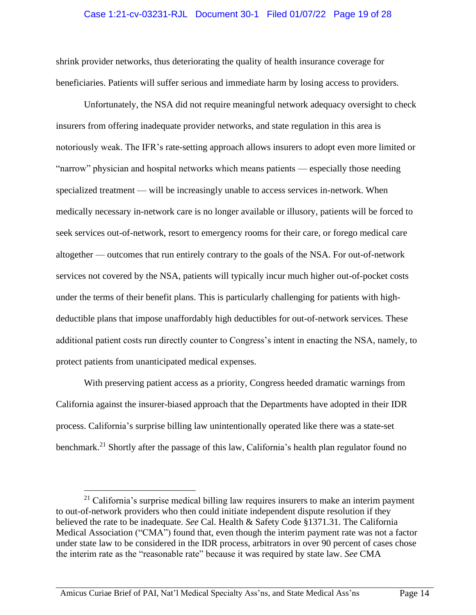#### Case 1:21-cv-03231-RJL Document 30-1 Filed 01/07/22 Page 19 of 28

shrink provider networks, thus deteriorating the quality of health insurance coverage for beneficiaries. Patients will suffer serious and immediate harm by losing access to providers.

Unfortunately, the NSA did not require meaningful network adequacy oversight to check insurers from offering inadequate provider networks, and state regulation in this area is notoriously weak. The IFR's rate-setting approach allows insurers to adopt even more limited or "narrow" physician and hospital networks which means patients — especially those needing specialized treatment — will be increasingly unable to access services in-network. When medically necessary in-network care is no longer available or illusory, patients will be forced to seek services out-of-network, resort to emergency rooms for their care, or forego medical care altogether — outcomes that run entirely contrary to the goals of the NSA. For out-of-network services not covered by the NSA, patients will typically incur much higher out-of-pocket costs under the terms of their benefit plans. This is particularly challenging for patients with highdeductible plans that impose unaffordably high deductibles for out-of-network services. These additional patient costs run directly counter to Congress's intent in enacting the NSA, namely, to protect patients from unanticipated medical expenses.

With preserving patient access as a priority, Congress heeded dramatic warnings from California against the insurer-biased approach that the Departments have adopted in their IDR process. California's surprise billing law unintentionally operated like there was a state-set benchmark.<sup>21</sup> Shortly after the passage of this law, California's health plan regulator found no

 $21$  California's surprise medical billing law requires insurers to make an interim payment to out-of-network providers who then could initiate independent dispute resolution if they believed the rate to be inadequate. *See* Cal. Health & Safety Code §1371.31. The California Medical Association ("CMA") found that, even though the interim payment rate was not a factor under state law to be considered in the IDR process, arbitrators in over 90 percent of cases chose the interim rate as the "reasonable rate" because it was required by state law. *See* CMA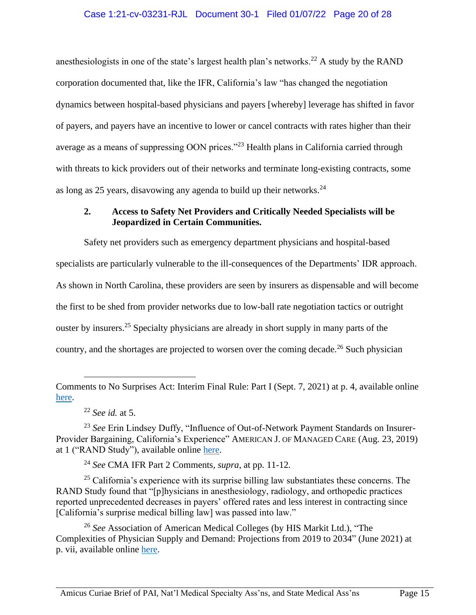anesthesiologists in one of the state's largest health plan's networks.<sup>22</sup> A study by the RAND corporation documented that, like the IFR, California's law "has changed the negotiation dynamics between hospital-based physicians and payers [whereby] leverage has shifted in favor of payers, and payers have an incentive to lower or cancel contracts with rates higher than their average as a means of suppressing OON prices."<sup>23</sup> Health plans in California carried through with threats to kick providers out of their networks and terminate long-existing contracts, some as long as 25 years, disavowing any agenda to build up their networks.<sup>24</sup>

## <span id="page-33-0"></span>**2. Access to Safety Net Providers and Critically Needed Specialists will be Jeopardized in Certain Communities.**

Safety net providers such as emergency department physicians and hospital-based specialists are particularly vulnerable to the ill-consequences of the Departments' IDR approach. As shown in North Carolina, these providers are seen by insurers as dispensable and will become the first to be shed from provider networks due to low-ball rate negotiation tactics or outright ouster by insurers.<sup>25</sup> Specialty physicians are already in short supply in many parts of the country, and the shortages are projected to worsen over the coming decade.<sup>26</sup> Such physician

 $25$  California's experience with its surprise billing law substantiates these concerns. The RAND Study found that "[p]hysicians in anesthesiology, radiology, and orthopedic practices reported unprecedented decreases in payers' offered rates and less interest in contracting since [California's surprise medical billing law] was passed into law."

<sup>26</sup> *See* Association of American Medical Colleges (by HIS Markit Ltd.), "The Complexities of Physician Supply and Demand: Projections from 2019 to 2034" (June 2021) at p. vii, available online [here.](https://www.aamc.org/media/54681/download?attachment)

Comments to No Surprises Act: Interim Final Rule: Part I (Sept. 7, 2021) at p. 4, available online [here.](https://www.cmadocs.org/Portals/CMA/files/public/CMA%20Letter%20on%20Federal%20Surprise%20Billing%20Regs%20(080721).pdf?ver=2021-09-16-125208-947)

<sup>22</sup> *See id.* at 5.

<sup>23</sup> *See* Erin Lindsey Duffy, "Influence of Out-of-Network Payment Standards on Insurer-Provider Bargaining, California's Experience" AMERICAN J. OF MANAGED CARE (Aug. 23, 2019) at 1 ("RAND Study"), available online [here.](https://www.ajmc.com/view/influence-of-outofnetwork-payment-standards-on-insurer-provider-bargaining-californias-experience)

<sup>24</sup> *See* CMA IFR Part 2 Comments, *supra*, at pp. 11-12*.*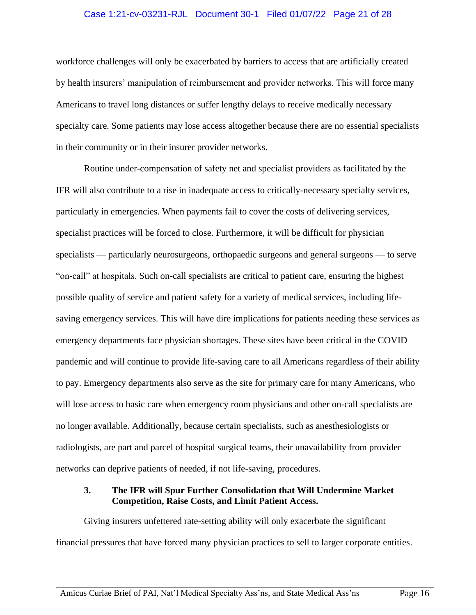#### Case 1:21-cv-03231-RJL Document 30-1 Filed 01/07/22 Page 21 of 28

workforce challenges will only be exacerbated by barriers to access that are artificially created by health insurers' manipulation of reimbursement and provider networks. This will force many Americans to travel long distances or suffer lengthy delays to receive medically necessary specialty care. Some patients may lose access altogether because there are no essential specialists in their community or in their insurer provider networks.

Routine under-compensation of safety net and specialist providers as facilitated by the IFR will also contribute to a rise in inadequate access to critically-necessary specialty services, particularly in emergencies. When payments fail to cover the costs of delivering services, specialist practices will be forced to close. Furthermore, it will be difficult for physician specialists — particularly neurosurgeons, orthopaedic surgeons and general surgeons — to serve "on-call" at hospitals. Such on-call specialists are critical to patient care, ensuring the highest possible quality of service and patient safety for a variety of medical services, including lifesaving emergency services. This will have dire implications for patients needing these services as emergency departments face physician shortages. These sites have been critical in the COVID pandemic and will continue to provide life-saving care to all Americans regardless of their ability to pay. Emergency departments also serve as the site for primary care for many Americans, who will lose access to basic care when emergency room physicians and other on-call specialists are no longer available. Additionally, because certain specialists, such as anesthesiologists or radiologists, are part and parcel of hospital surgical teams, their unavailability from provider networks can deprive patients of needed, if not life-saving, procedures.

### <span id="page-34-0"></span>**3. The IFR will Spur Further Consolidation that Will Undermine Market Competition, Raise Costs, and Limit Patient Access.**

Giving insurers unfettered rate-setting ability will only exacerbate the significant financial pressures that have forced many physician practices to sell to larger corporate entities.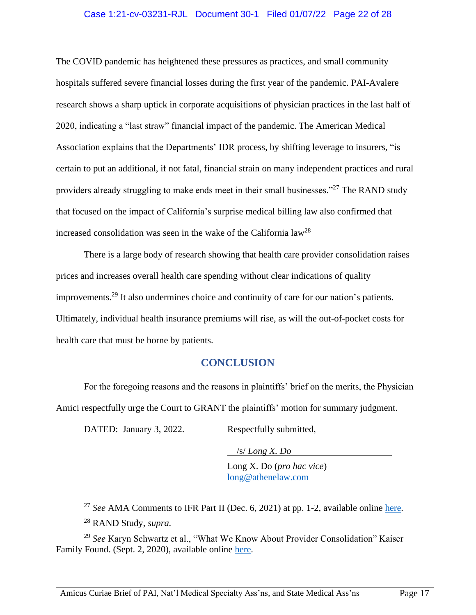#### Case 1:21-cv-03231-RJL Document 30-1 Filed 01/07/22 Page 22 of 28

The COVID pandemic has heightened these pressures as practices, and small community hospitals suffered severe financial losses during the first year of the pandemic. PAI-Avalere research shows a sharp uptick in corporate acquisitions of physician practices in the last half of 2020, indicating a "last straw" financial impact of the pandemic. The American Medical Association explains that the Departments' IDR process, by shifting leverage to insurers, "is certain to put an additional, if not fatal, financial strain on many independent practices and rural providers already struggling to make ends meet in their small businesses."<sup>27</sup> The RAND study that focused on the impact of California's surprise medical billing law also confirmed that increased consolidation was seen in the wake of the California  $law^{28}$ 

There is a large body of research showing that health care provider consolidation raises prices and increases overall health care spending without clear indications of quality improvements.<sup>29</sup> It also undermines choice and continuity of care for our nation's patients. Ultimately, individual health insurance premiums will rise, as will the out-of-pocket costs for health care that must be borne by patients.

## <span id="page-35-0"></span>**CONCLUSION**

For the foregoing reasons and the reasons in plaintiffs' brief on the merits, the Physician Amici respectfully urge the Court to GRANT the plaintiffs' motion for summary judgment.

DATED: January 3, 2022. Respectfully submitted,

 /s/ *Long X. Do* Long X. Do (*pro hac vice*) [long@athenelaw.com](mailto:long@athenelaw.com)

<sup>&</sup>lt;sup>27</sup> See AMA Comments to IFR Part II (Dec. 6, 2021) at pp. 1-2, available online [here.](https://searchlf.ama-assn.org/letter/documentDownload?uri=%2Funstructured%2Fbinary%25)

<sup>28</sup> RAND Study, *supra.*

<sup>29</sup> *See* Karyn Schwartz et al., "What We Know About Provider Consolidation" Kaiser Family Found. (Sept. 2, 2020), available online [here.](https://www.kff.org/health-costs/issue-brief/what-we-know-about-provider-consolidation/)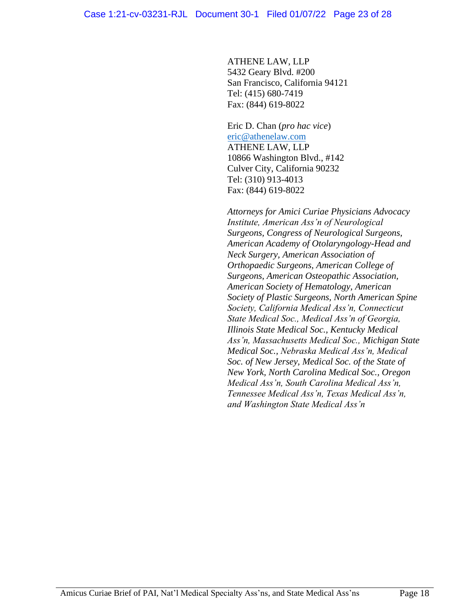ATHENE LAW, LLP 5432 Geary Blvd. #200 San Francisco, California 94121 Tel: (415) 680-7419 Fax: (844) 619-8022

Eric D. Chan (*pro hac vice*) [eric@athenelaw.com](mailto:eric@athenelaw.com) ATHENE LAW, LLP 10866 Washington Blvd., #142 Culver City, California 90232 Tel: (310) 913-4013 Fax: (844) 619-8022

*Attorneys for Amici Curiae Physicians Advocacy Institute, American Ass'n of Neurological Surgeons, Congress of Neurological Surgeons, American Academy of Otolaryngology-Head and Neck Surgery, American Association of Orthopaedic Surgeons, American College of Surgeons, American Osteopathic Association, American Society of Hematology, American Society of Plastic Surgeons, North American Spine Society, California Medical Ass'n, Connecticut State Medical Soc., Medical Ass'n of Georgia, Illinois State Medical Soc., Kentucky Medical Ass'n, Massachusetts Medical Soc., Michigan State Medical Soc., Nebraska Medical Ass'n, Medical Soc. of New Jersey, Medical Soc. of the State of New York, North Carolina Medical Soc., Oregon Medical Ass'n, South Carolina Medical Ass'n, Tennessee Medical Ass'n, Texas Medical Ass'n, and Washington State Medical Ass'n*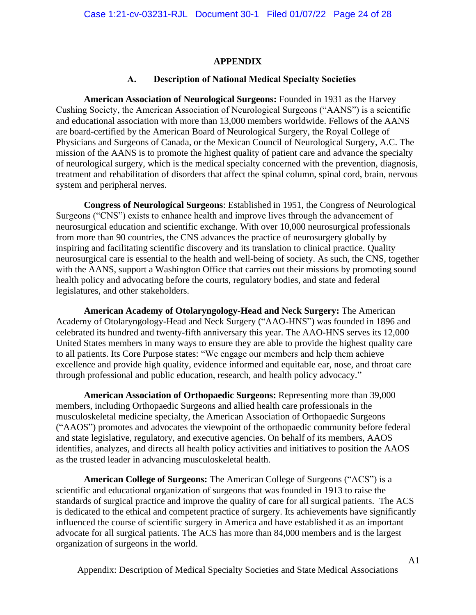#### **APPENDIX**

#### **A. Description of National Medical Specialty Societies**

**American Association of Neurological Surgeons:** Founded in 1931 as the Harvey Cushing Society, the American Association of Neurological Surgeons ("AANS") is a scientific and educational association with more than 13,000 members worldwide. Fellows of the AANS are board-certified by the American Board of Neurological Surgery, the Royal College of Physicians and Surgeons of Canada, or the Mexican Council of Neurological Surgery, A.C. The mission of the AANS is to promote the highest quality of patient care and advance the specialty of neurological surgery, which is the medical specialty concerned with the prevention, diagnosis, treatment and rehabilitation of disorders that affect the spinal column, spinal cord, brain, nervous system and peripheral nerves.

**Congress of Neurological Surgeons**: Established in 1951, the Congress of Neurological Surgeons ("CNS") exists to enhance health and improve lives through the advancement of neurosurgical education and scientific exchange. With over 10,000 neurosurgical professionals from more than 90 countries, the CNS advances the practice of neurosurgery globally by inspiring and facilitating scientific discovery and its translation to clinical practice. Quality neurosurgical care is essential to the health and well-being of society. As such, the CNS, together with the AANS, support a Washington Office that carries out their missions by promoting sound health policy and advocating before the courts, regulatory bodies, and state and federal legislatures, and other stakeholders.

**American Academy of Otolaryngology-Head and Neck Surgery:** The American Academy of Otolaryngology-Head and Neck Surgery ("AAO-HNS") was founded in 1896 and celebrated its hundred and twenty-fifth anniversary this year. The AAO-HNS serves its 12,000 United States members in many ways to ensure they are able to provide the highest quality care to all patients. Its Core Purpose states: "We engage our members and help them achieve excellence and provide high quality, evidence informed and equitable ear, nose, and throat care through professional and public education, research, and health policy advocacy."

**American Association of Orthopaedic Surgeons:** Representing more than 39,000 members, including Orthopaedic Surgeons and allied health care professionals in the musculoskeletal medicine specialty, the American Association of Orthopaedic Surgeons ("AAOS") promotes and advocates the viewpoint of the orthopaedic community before federal and state legislative, regulatory, and executive agencies. On behalf of its members, AAOS identifies, analyzes, and directs all health policy activities and initiatives to position the AAOS as the trusted leader in advancing musculoskeletal health.

**American College of Surgeons:** The American College of Surgeons ("ACS") is a scientific and educational organization of surgeons that was founded in 1913 to raise the standards of surgical practice and improve the quality of care for all surgical patients. The ACS is dedicated to the ethical and competent practice of surgery. Its achievements have significantly influenced the course of scientific surgery in America and have established it as an important advocate for all surgical patients. The ACS has more than 84,000 members and is the largest organization of surgeons in the world.

Appendix: Description of Medical Specialty Societies and State Medical Associations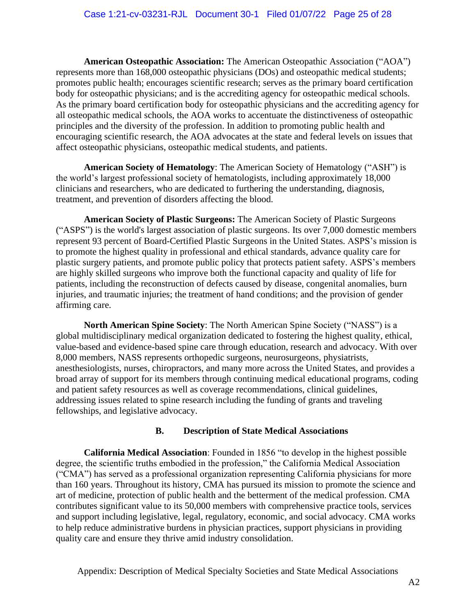**American Osteopathic Association:** The American Osteopathic Association ("AOA") represents more than 168,000 osteopathic physicians (DOs) and osteopathic medical students; promotes public health; encourages scientific research; serves as the primary board certification body for osteopathic physicians; and is the accrediting agency for osteopathic medical schools. As the primary board certification body for osteopathic physicians and the accrediting agency for all osteopathic medical schools, the AOA works to accentuate the distinctiveness of osteopathic principles and the diversity of the profession. In addition to promoting public health and encouraging scientific research, the AOA advocates at the state and federal levels on issues that affect osteopathic physicians, osteopathic medical students, and patients.

**American Society of Hematology**: The American Society of Hematology ("ASH") is the world's largest professional society of hematologists, including approximately 18,000 clinicians and researchers, who are dedicated to furthering the understanding, diagnosis, treatment, and prevention of disorders affecting the blood.

**American Society of Plastic Surgeons:** The American Society of Plastic Surgeons ("ASPS") is the world's largest association of plastic surgeons. Its over 7,000 domestic members represent 93 percent of Board-Certified Plastic Surgeons in the United States. ASPS's mission is to promote the highest quality in professional and ethical standards, advance quality care for plastic surgery patients, and promote public policy that protects patient safety. ASPS's members are highly skilled surgeons who improve both the functional capacity and quality of life for patients, including the reconstruction of defects caused by disease, congenital anomalies, burn injuries, and traumatic injuries; the treatment of hand conditions; and the provision of gender affirming care.

**North American Spine Society**: The North American Spine Society ("NASS") is a global multidisciplinary medical organization dedicated to fostering the highest quality, ethical, value-based and evidence-based spine care through education, research and advocacy. With over 8,000 members, NASS represents orthopedic surgeons, neurosurgeons, physiatrists, anesthesiologists, nurses, chiropractors, and many more across the United States, and provides a broad array of support for its members through continuing medical educational programs, coding and patient safety resources as well as coverage recommendations, clinical guidelines, addressing issues related to spine research including the funding of grants and traveling fellowships, and legislative advocacy.

## **B. Description of State Medical Associations**

**California Medical Association**: Founded in 1856 "to develop in the highest possible degree, the scientific truths embodied in the profession," the California Medical Association ("CMA") has served as a professional organization representing California physicians for more than 160 years. Throughout its history, CMA has pursued its mission to promote the science and art of medicine, protection of public health and the betterment of the medical profession. CMA contributes significant value to its 50,000 members with comprehensive practice tools, services and support including legislative, legal, regulatory, economic, and social advocacy. CMA works to help reduce administrative burdens in physician practices, support physicians in providing quality care and ensure they thrive amid industry consolidation.

Appendix: Description of Medical Specialty Societies and State Medical Associations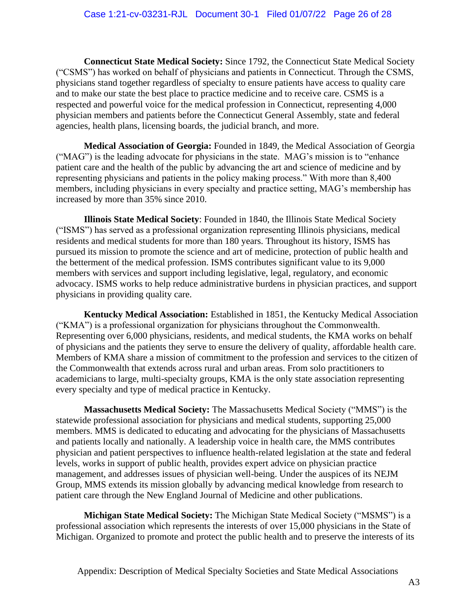**Connecticut State Medical Society:** Since 1792, the Connecticut State Medical Society ("CSMS") has worked on behalf of physicians and patients in Connecticut. Through the CSMS, physicians stand together regardless of specialty to ensure patients have access to quality care and to make our state the best place to practice medicine and to receive care. CSMS is a respected and powerful voice for the medical profession in Connecticut, representing 4,000 physician members and patients before the Connecticut General Assembly, state and federal agencies, health plans, licensing boards, the judicial branch, and more.

**Medical Association of Georgia:** Founded in 1849, the Medical Association of Georgia ("MAG") is the leading advocate for physicians in the state. MAG's mission is to "enhance patient care and the health of the public by advancing the art and science of medicine and by representing physicians and patients in the policy making process." With more than 8,400 members, including physicians in every specialty and practice setting, MAG's membership has increased by more than 35% since 2010.

**Illinois State Medical Society**: Founded in 1840, the Illinois State Medical Society ("ISMS") has served as a professional organization representing Illinois physicians, medical residents and medical students for more than 180 years. Throughout its history, ISMS has pursued its mission to promote the science and art of medicine, protection of public health and the betterment of the medical profession. ISMS contributes significant value to its 9,000 members with services and support including legislative, legal, regulatory, and economic advocacy. ISMS works to help reduce administrative burdens in physician practices, and support physicians in providing quality care.

**Kentucky Medical Association:** Established in 1851, the Kentucky Medical Association ("KMA") is a professional organization for physicians throughout the Commonwealth. Representing over 6,000 physicians, residents, and medical students, the KMA works on behalf of physicians and the patients they serve to ensure the delivery of quality, affordable health care. Members of KMA share a mission of commitment to the profession and services to the citizen of the Commonwealth that extends across rural and urban areas. From solo practitioners to academicians to large, multi-specialty groups, KMA is the only state association representing every specialty and type of medical practice in Kentucky.

**Massachusetts Medical Society:** The Massachusetts Medical Society ("MMS") is the statewide professional association for physicians and medical students, supporting 25,000 members. MMS is dedicated to educating and advocating for the physicians of Massachusetts and patients locally and nationally. A leadership voice in health care, the MMS contributes physician and patient perspectives to influence health-related legislation at the state and federal levels, works in support of public health, provides expert advice on physician practice management, and addresses issues of physician well-being. Under the auspices of its NEJM Group, MMS extends its mission globally by advancing medical knowledge from research to patient care through the New England Journal of Medicine and other publications.

**Michigan State Medical Society:** The Michigan State Medical Society ("MSMS") is a professional association which represents the interests of over 15,000 physicians in the State of Michigan. Organized to promote and protect the public health and to preserve the interests of its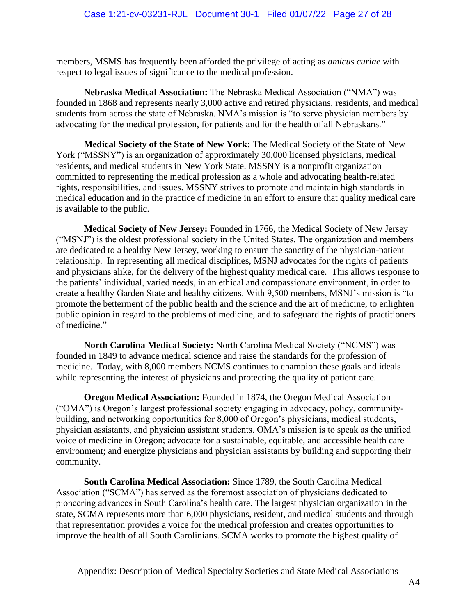members, MSMS has frequently been afforded the privilege of acting as *amicus curiae* with respect to legal issues of significance to the medical profession.

**Nebraska Medical Association:** The Nebraska Medical Association ("NMA") was founded in 1868 and represents nearly 3,000 active and retired physicians, residents, and medical students from across the state of Nebraska. NMA's mission is "to serve physician members by advocating for the medical profession, for patients and for the health of all Nebraskans."

**Medical Society of the State of New York:** The Medical Society of the State of New York ("MSSNY") is an organization of approximately 30,000 licensed physicians, medical residents, and medical students in New York State. MSSNY is a nonprofit organization committed to representing the medical profession as a whole and advocating health-related rights, responsibilities, and issues. MSSNY strives to promote and maintain high standards in medical education and in the practice of medicine in an effort to ensure that quality medical care is available to the public.

**Medical Society of New Jersey:** Founded in 1766, the Medical Society of New Jersey ("MSNJ") is the oldest professional society in the United States. The organization and members are dedicated to a healthy New Jersey, working to ensure the sanctity of the physician-patient relationship. In representing all medical disciplines, MSNJ advocates for the rights of patients and physicians alike, for the delivery of the highest quality medical care. This allows response to the patients' individual, varied needs, in an ethical and compassionate environment, in order to create a healthy Garden State and healthy citizens. With 9,500 members, MSNJ's mission is "to promote the betterment of the public health and the science and the art of medicine, to enlighten public opinion in regard to the problems of medicine, and to safeguard the rights of practitioners of medicine."

**North Carolina Medical Society:** North Carolina Medical Society ("NCMS") was founded in 1849 to advance medical science and raise the standards for the profession of medicine. Today, with 8,000 members NCMS continues to champion these goals and ideals while representing the interest of physicians and protecting the quality of patient care.

**Oregon Medical Association:** Founded in 1874, the Oregon Medical Association ("OMA") is Oregon's largest professional society engaging in advocacy, policy, communitybuilding, and networking opportunities for 8,000 of Oregon's physicians, medical students, physician assistants, and physician assistant students. OMA's mission is to speak as the unified voice of medicine in Oregon; advocate for a sustainable, equitable, and accessible health care environment; and energize physicians and physician assistants by building and supporting their community.

**South Carolina Medical Association:** Since 1789, the South Carolina Medical Association ("SCMA") has served as the foremost association of physicians dedicated to pioneering advances in South Carolina's health care. The largest physician organization in the state, SCMA represents more than 6,000 physicians, resident, and medical students and through that representation provides a voice for the medical profession and creates opportunities to improve the health of all South Carolinians. SCMA works to promote the highest quality of

Appendix: Description of Medical Specialty Societies and State Medical Associations